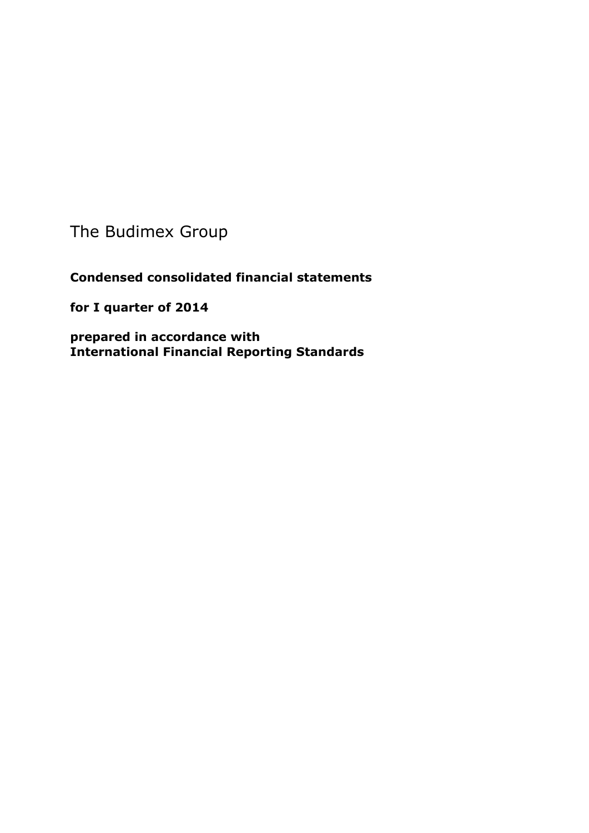The Budimex Group

**Condensed consolidated financial statements** 

**for I quarter of 2014**

**prepared in accordance with International Financial Reporting Standards**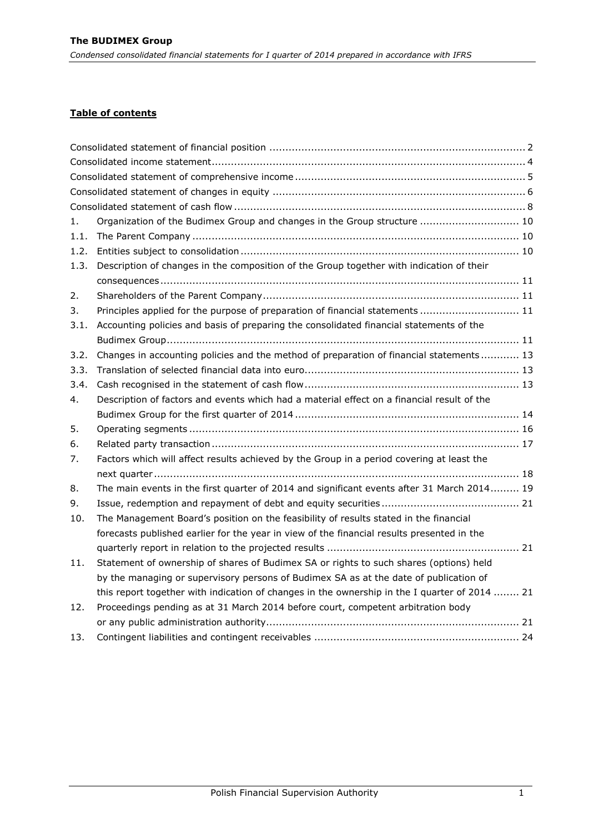# **Table of contents**

| 1.   | Organization of the Budimex Group and changes in the Group structure  10                      |
|------|-----------------------------------------------------------------------------------------------|
| 1.1. |                                                                                               |
| 1.2. |                                                                                               |
| 1.3. | Description of changes in the composition of the Group together with indication of their      |
|      |                                                                                               |
| 2.   |                                                                                               |
| 3.   | Principles applied for the purpose of preparation of financial statements  11                 |
| 3.1. | Accounting policies and basis of preparing the consolidated financial statements of the       |
|      |                                                                                               |
| 3.2. | Changes in accounting policies and the method of preparation of financial statements 13       |
| 3.3. |                                                                                               |
| 3.4. |                                                                                               |
| 4.   | Description of factors and events which had a material effect on a financial result of the    |
|      |                                                                                               |
| 5.   |                                                                                               |
| 6.   |                                                                                               |
| 7.   | Factors which will affect results achieved by the Group in a period covering at least the     |
|      |                                                                                               |
| 8.   | The main events in the first quarter of 2014 and significant events after 31 March 2014 19    |
| 9.   |                                                                                               |
| 10.  | The Management Board's position on the feasibility of results stated in the financial         |
|      | forecasts published earlier for the year in view of the financial results presented in the    |
|      |                                                                                               |
| 11.  | Statement of ownership of shares of Budimex SA or rights to such shares (options) held        |
|      | by the managing or supervisory persons of Budimex SA as at the date of publication of         |
|      | this report together with indication of changes in the ownership in the I quarter of 2014  21 |
| 12.  | Proceedings pending as at 31 March 2014 before court, competent arbitration body              |
|      |                                                                                               |
| 13.  |                                                                                               |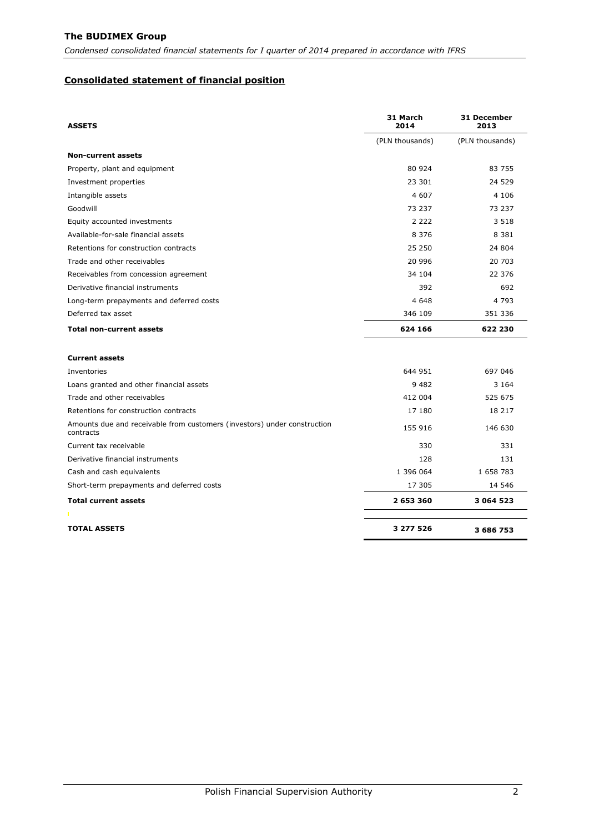*Condensed consolidated financial statements for I quarter of 2014 prepared in accordance with IFRS*

### <span id="page-2-0"></span>**Consolidated statement of financial position**

| <b>ASSETS</b>                                                                         | 31 March<br>2014 | 31 December<br>2013 |
|---------------------------------------------------------------------------------------|------------------|---------------------|
|                                                                                       | (PLN thousands)  | (PLN thousands)     |
| <b>Non-current assets</b>                                                             |                  |                     |
| Property, plant and equipment                                                         | 80 924           | 83 755              |
| Investment properties                                                                 | 23 301           | 24 5 29             |
| Intangible assets                                                                     | 4 607            | 4 1 0 6             |
| Goodwill                                                                              | 73 237           | 73 237              |
| Equity accounted investments                                                          | 2 2 2 2          | 3 5 1 8             |
| Available-for-sale financial assets                                                   | 8 3 7 6          | 8 3 8 1             |
| Retentions for construction contracts                                                 | 25 250           | 24 804              |
| Trade and other receivables                                                           | 20 996           | 20 703              |
| Receivables from concession agreement                                                 | 34 104           | 22 376              |
| Derivative financial instruments                                                      | 392              | 692                 |
| Long-term prepayments and deferred costs                                              | 4 6 4 8          | 4 7 9 3             |
| Deferred tax asset                                                                    | 346 109          | 351 336             |
| <b>Total non-current assets</b>                                                       | 624 166          | 622 230             |
| <b>Current assets</b>                                                                 |                  |                     |
| Inventories                                                                           | 644 951          | 697 046             |
| Loans granted and other financial assets                                              | 9 4 8 2          | 3 1 6 4             |
| Trade and other receivables                                                           | 412 004          | 525 675             |
| Retentions for construction contracts                                                 | 17 180           | 18 217              |
| Amounts due and receivable from customers (investors) under construction<br>contracts | 155 916          | 146 630             |
| Current tax receivable                                                                | 330              | 331                 |
| Derivative financial instruments                                                      | 128              | 131                 |
| Cash and cash equivalents                                                             | 1 396 064        | 1 658 783           |
| Short-term prepayments and deferred costs                                             | 17 305           | 14 546              |
| <b>Total current assets</b>                                                           | 2 653 360        | 3 064 523           |
|                                                                                       |                  |                     |
| <b>TOTAL ASSETS</b>                                                                   | 3 277 526        | 3 686 753           |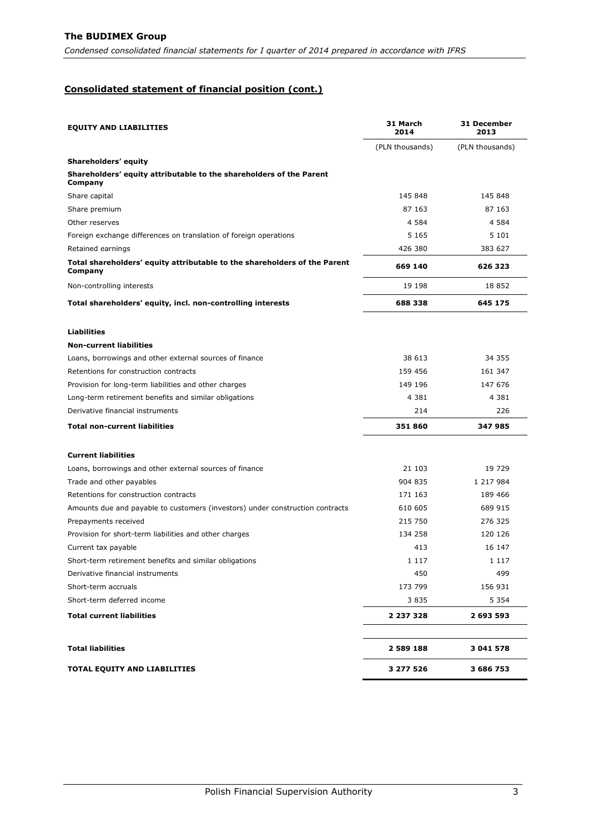*Condensed consolidated financial statements for I quarter of 2014 prepared in accordance with IFRS*

# **Consolidated statement of financial position (cont.)**

| <b>EQUITY AND LIABILITIES</b>                                                        | 31 March<br>2014 | <b>31 December</b><br>2013 |  |
|--------------------------------------------------------------------------------------|------------------|----------------------------|--|
|                                                                                      | (PLN thousands)  | (PLN thousands)            |  |
| Shareholders' equity                                                                 |                  |                            |  |
| Shareholders' equity attributable to the shareholders of the Parent<br>Company       |                  |                            |  |
| Share capital                                                                        | 145 848          | 145 848                    |  |
| Share premium                                                                        | 87 163           | 87 163                     |  |
| Other reserves                                                                       | 4 5 8 4          | 4 5 8 4                    |  |
| Foreign exchange differences on translation of foreign operations                    | 5 1 6 5          | 5 1 0 1                    |  |
| Retained earnings                                                                    | 426 380          | 383 627                    |  |
| Total shareholders' equity attributable to the shareholders of the Parent<br>Company | 669 140          | 626 323                    |  |
| Non-controlling interests                                                            | 19 198           | 18 852                     |  |
| Total shareholders' equity, incl. non-controlling interests                          | 688 338          | 645 175                    |  |
| <b>Liabilities</b>                                                                   |                  |                            |  |
| <b>Non-current liabilities</b>                                                       |                  |                            |  |
| Loans, borrowings and other external sources of finance                              | 38 613           | 34 355                     |  |
| Retentions for construction contracts                                                | 159 456          | 161 347                    |  |
| Provision for long-term liabilities and other charges                                | 149 196          | 147 676                    |  |
| Long-term retirement benefits and similar obligations                                | 4 3 8 1          | 4 3 8 1                    |  |
| Derivative financial instruments                                                     | 214              | 226                        |  |
| <b>Total non-current liabilities</b>                                                 | 351 860          | 347 985                    |  |
| <b>Current liabilities</b>                                                           |                  |                            |  |
| Loans, borrowings and other external sources of finance                              | 21 103           | 19 729                     |  |
| Trade and other payables                                                             | 904 835          | 1 217 984                  |  |
| Retentions for construction contracts                                                | 171 163          | 189 466                    |  |
| Amounts due and payable to customers (investors) under construction contracts        | 610 605          | 689 915                    |  |
| Prepayments received                                                                 | 215 750          | 276 325                    |  |
| Provision for short-term liabilities and other charges                               | 134 258          | 120 126                    |  |
| Current tax payable                                                                  | 413              | 16 147                     |  |
| Short-term retirement benefits and similar obligations                               | 1 1 1 7          | 1 1 1 7                    |  |
| Derivative financial instruments                                                     | 450              | 499                        |  |
| Short-term accruals                                                                  | 173 799          | 156 931                    |  |
| Short-term deferred income                                                           | 3835             | 5 3 5 4                    |  |
| <b>Total current liabilities</b>                                                     | 2 237 328        | 2 693 593                  |  |
| <b>Total liabilities</b>                                                             | 2 589 188        | 3 041 578                  |  |
| TOTAL EQUITY AND LIABILITIES                                                         | 3 277 526        | 3 686 753                  |  |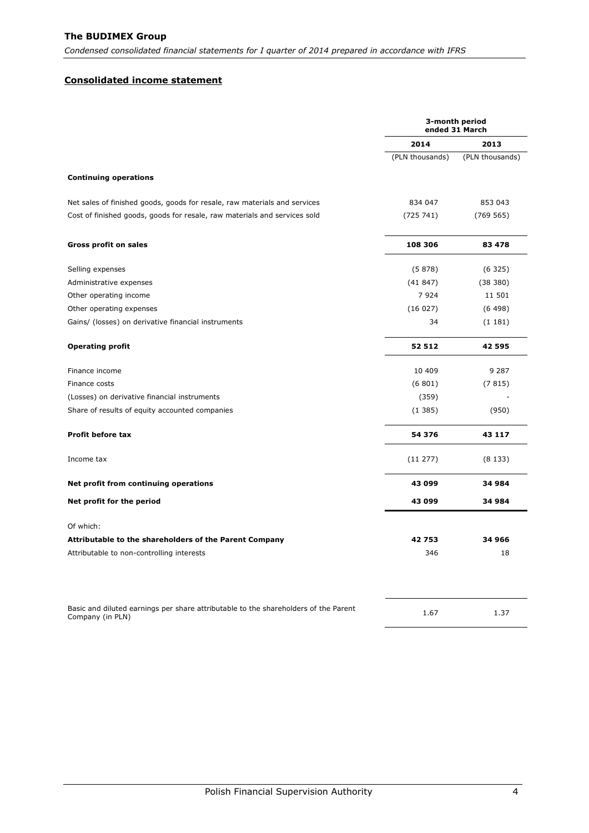*Condensed consolidated financial statements for I quarter of 2014 prepared in accordance with IFRS*

#### <span id="page-4-0"></span>**Consolidated income statement**

|                                                                                                         |                 | 3-month period<br>ended 31 March |
|---------------------------------------------------------------------------------------------------------|-----------------|----------------------------------|
|                                                                                                         | 2014            | 2013                             |
|                                                                                                         | (PLN thousands) | (PLN thousands)                  |
| <b>Continuing operations</b>                                                                            |                 |                                  |
| Net sales of finished goods, goods for resale, raw materials and services                               | 834 047         | 853 043                          |
| Cost of finished goods, goods for resale, raw materials and services sold                               | (725741)        | (769565)                         |
| <b>Gross profit on sales</b>                                                                            | 108 306         | 83 478                           |
| Selling expenses                                                                                        | (5878)          | (6325)                           |
| Administrative expenses                                                                                 | (41847)         | (38 380)                         |
| Other operating income                                                                                  | 7924            | 11 501                           |
| Other operating expenses                                                                                | (16027)         | (6498)                           |
| Gains/ (losses) on derivative financial instruments                                                     | 34              | (1181)                           |
| <b>Operating profit</b>                                                                                 | 52 512          | 42 595                           |
| Finance income                                                                                          | 10 409          | 9 2 8 7                          |
| Finance costs                                                                                           | (6801)          | (7815)                           |
| (Losses) on derivative financial instruments                                                            | (359)           |                                  |
| Share of results of equity accounted companies                                                          | (1385)          | (950)                            |
| Profit before tax                                                                                       | 54 376          | 43 117                           |
| Income tax                                                                                              | (11 277)        | (8133)                           |
| Net profit from continuing operations                                                                   | 43 099          | 34 984                           |
| Net profit for the period                                                                               | 43 099          | 34 984                           |
| Of which:                                                                                               |                 |                                  |
| Attributable to the shareholders of the Parent Company                                                  | 42753           | 34 966                           |
| Attributable to non-controlling interests                                                               | 346             | 18                               |
| Basic and diluted earnings per share attributable to the shareholders of the Parent<br>Company (in PLN) | 1.67            | 1.37                             |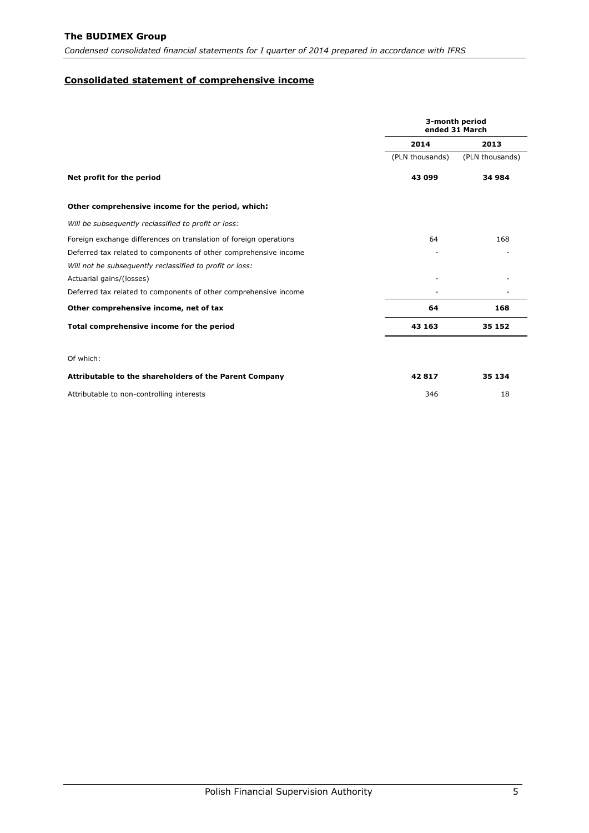*Condensed consolidated financial statements for I quarter of 2014 prepared in accordance with IFRS*

### <span id="page-5-0"></span>**Consolidated statement of comprehensive income**

|                                                                   |                 | 3-month period<br>ended 31 March |
|-------------------------------------------------------------------|-----------------|----------------------------------|
|                                                                   | 2014            | 2013                             |
|                                                                   | (PLN thousands) | (PLN thousands)                  |
| Net profit for the period                                         | 43 099          | 34 984                           |
| Other comprehensive income for the period, which:                 |                 |                                  |
| Will be subsequently reclassified to profit or loss:              |                 |                                  |
| Foreign exchange differences on translation of foreign operations | 64              | 168                              |
| Deferred tax related to components of other comprehensive income  |                 |                                  |
| Will not be subsequently reclassified to profit or loss:          |                 |                                  |
| Actuarial gains/(losses)                                          |                 |                                  |
| Deferred tax related to components of other comprehensive income  |                 |                                  |
| Other comprehensive income, net of tax                            | 64              | 168                              |
| Total comprehensive income for the period                         | 43 163          | 35 152                           |
| Of which:                                                         |                 |                                  |
| Attributable to the shareholders of the Parent Company            | 42817           | 35 134                           |
| Attributable to non-controlling interests                         | 346             | 18                               |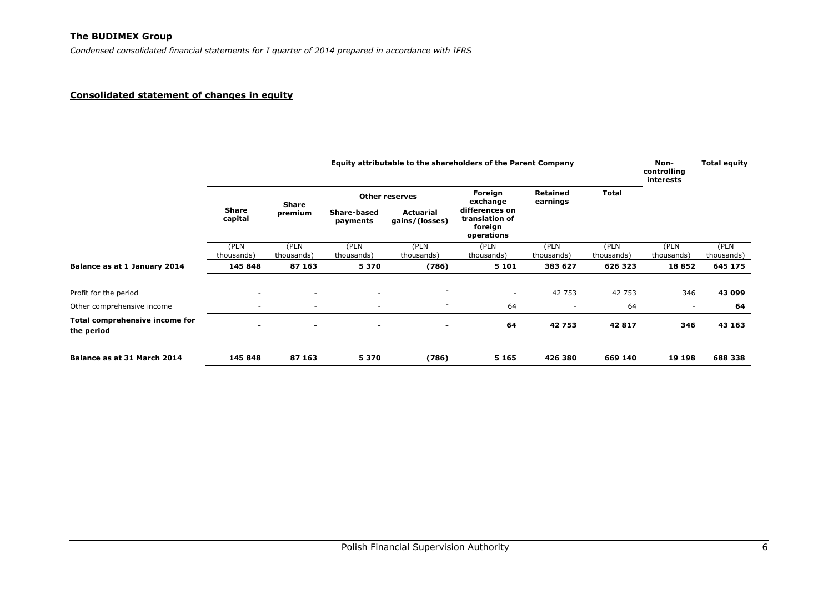### **Consolidated statement of changes in equity**

<span id="page-6-0"></span>

|                                              |                          | Equity attributable to the shareholders of the Parent Company |                                                                                                   |                          |                                  |                             |                    | Non-<br>controlling<br>interests | <b>Total equity</b> |
|----------------------------------------------|--------------------------|---------------------------------------------------------------|---------------------------------------------------------------------------------------------------|--------------------------|----------------------------------|-----------------------------|--------------------|----------------------------------|---------------------|
|                                              |                          | Share                                                         |                                                                                                   | <b>Other reserves</b>    | Foreign<br>exchange              | <b>Retained</b><br>earnings | <b>Total</b>       |                                  |                     |
|                                              | <b>Share</b><br>capital  |                                                               | <b>Actuarial</b><br>Share-based<br>premium<br>gains/(losses)<br>payments<br>foreign<br>operations |                          | differences on<br>translation of |                             |                    |                                  |                     |
|                                              | (PLN<br>thousands)       | (PLN<br>thousands)                                            | (PLN<br>thousands)                                                                                | (PLN<br>thousands)       | (PLN<br>thousands)               | (PLN<br>thousands)          | (PLN<br>thousands) | (PLN<br>thousands)               | (PLN<br>thousands)  |
| Balance as at 1 January 2014                 | 145 848                  | 87 163                                                        | 5370                                                                                              | (786)                    | 5 1 0 1                          | 383 627                     | 626 323            | 18852                            | 645 175             |
| Profit for the period                        |                          | $\sim$                                                        | $\overline{\phantom{a}}$                                                                          | ٠                        | ۰                                | 42 753                      | 42 753             | 346                              | 43 099              |
| Other comprehensive income                   | $\overline{\phantom{0}}$ | $\overline{\phantom{a}}$                                      | $\overline{\phantom{a}}$                                                                          | $\overline{\phantom{a}}$ | 64                               | $\overline{\phantom{a}}$    | 64                 | $\overline{\phantom{a}}$         | 64                  |
| Total comprehensive income for<br>the period | -                        | $\blacksquare$                                                | $\blacksquare$                                                                                    | $\blacksquare$           | 64                               | 42753                       | 42817              | 346                              | 43 163              |
| Balance as at 31 March 2014                  | 145 848                  | 87 163                                                        | 5370                                                                                              | (786)                    | 5 1 6 5                          | 426 380                     | 669 140            | 19 198                           | 688 338             |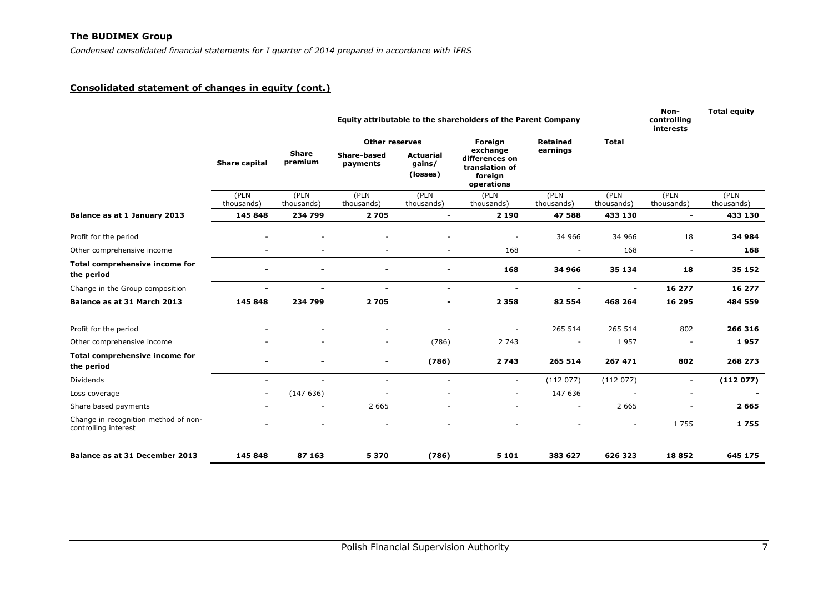# **Consolidated statement of changes in equity (cont.)**

|                                                              | Equity attributable to the shareholders of the Parent Company |                         |                                |                                        |                                                                       |                    | Non-<br>controlling<br>interests | <b>Total equity</b>      |                       |
|--------------------------------------------------------------|---------------------------------------------------------------|-------------------------|--------------------------------|----------------------------------------|-----------------------------------------------------------------------|--------------------|----------------------------------|--------------------------|-----------------------|
|                                                              |                                                               |                         | <b>Other reserves</b>          |                                        | Foreign                                                               | <b>Retained</b>    | <b>Total</b>                     |                          |                       |
|                                                              | Share capital                                                 | <b>Share</b><br>premium | <b>Share-based</b><br>payments | <b>Actuarial</b><br>qains/<br>(losses) | exchange<br>differences on<br>translation of<br>foreign<br>operations | earnings           |                                  |                          |                       |
|                                                              | (PLN<br>thousands)                                            | (PLN<br>thousands)      | (PLN                           | (PLN<br>thousands)                     | (PLN<br>thousands)                                                    | (PLN<br>thousands) | (PLN<br>thousands)               | (PLN<br>thousands)       | (PLN                  |
| Balance as at 1 January 2013                                 | 145 848                                                       | 234 799                 | thousands)<br>2705             | $\blacksquare$                         | 2 1 9 0                                                               | 47588              | 433 130                          | $\overline{\phantom{a}}$ | thousands)<br>433 130 |
|                                                              |                                                               |                         |                                |                                        |                                                                       |                    |                                  |                          |                       |
| Profit for the period                                        |                                                               |                         |                                |                                        |                                                                       | 34 966             | 34 966                           | 18                       | 34 984                |
| Other comprehensive income                                   |                                                               |                         |                                |                                        | 168                                                                   |                    | 168                              |                          | 168                   |
| Total comprehensive income for<br>the period                 |                                                               |                         | $\overline{\phantom{0}}$       |                                        | 168                                                                   | 34 966             | 35 134                           | 18                       | 35 152                |
| Change in the Group composition                              | $\blacksquare$                                                | $\blacksquare$          | $\blacksquare$                 | $\overline{\phantom{0}}$               | $\overline{\phantom{0}}$                                              | $\blacksquare$     | $\blacksquare$                   | 16 277                   | 16 277                |
| Balance as at 31 March 2013                                  | 145 848                                                       | 234 799                 | 2705                           | $\blacksquare$                         | 2 3 5 8                                                               | 82 5 54            | 468 264                          | 16 295                   | 484 559               |
|                                                              |                                                               |                         |                                |                                        |                                                                       |                    |                                  |                          |                       |
| Profit for the period                                        |                                                               |                         |                                |                                        |                                                                       | 265 514            | 265 514                          | 802                      | 266 316               |
| Other comprehensive income                                   |                                                               |                         | $\sim$                         | (786)                                  | 2 7 4 3                                                               |                    | 1957                             |                          | 1957                  |
| Total comprehensive income for<br>the period                 |                                                               |                         | $\blacksquare$                 | (786)                                  | 2743                                                                  | 265 514            | 267 471                          | 802                      | 268 273               |
| Dividends                                                    |                                                               |                         | ÷.                             | ÷                                      | $\overline{\phantom{a}}$                                              | (112077)           | (112077)                         | $\blacksquare$           | (112077)              |
| Loss coverage                                                |                                                               | (147636)                |                                |                                        | ۰                                                                     | 147 636            |                                  |                          |                       |
| Share based payments                                         |                                                               |                         | 2 6 6 5                        |                                        |                                                                       |                    | 2 6 6 5                          |                          | 2 6 6 5               |
| Change in recognition method of non-<br>controlling interest |                                                               |                         |                                |                                        |                                                                       |                    |                                  | 1755                     | 1755                  |
| Balance as at 31 December 2013                               | 145 848                                                       | 87 163                  | 5 3 7 0                        | (786)                                  | 5 1 0 1                                                               | 383 627            | 626 323                          | 18852                    | 645 175               |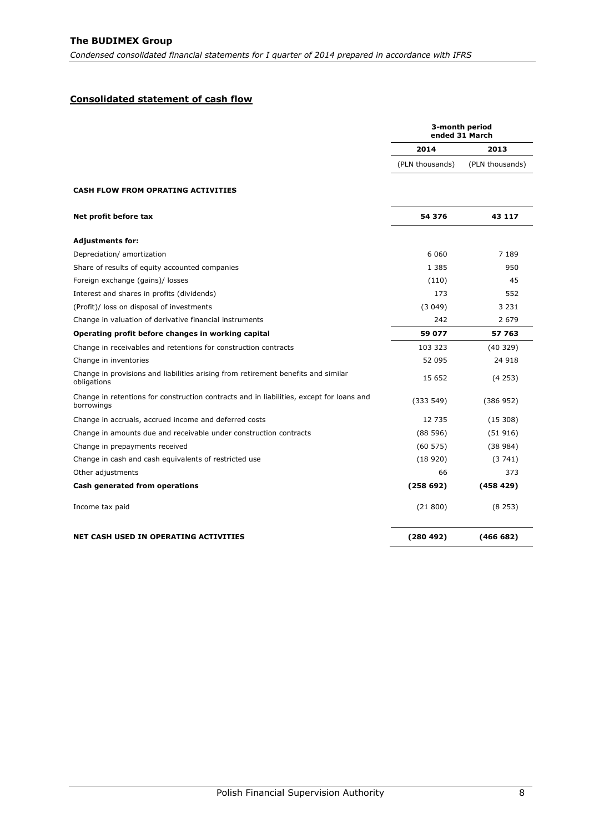# <span id="page-8-0"></span>**Consolidated statement of cash flow**

|                                                                                                        | 3-month period<br>ended 31 March |                 |
|--------------------------------------------------------------------------------------------------------|----------------------------------|-----------------|
|                                                                                                        | 2014                             | 2013            |
|                                                                                                        | (PLN thousands)                  | (PLN thousands) |
| <b>CASH FLOW FROM OPRATING ACTIVITIES</b>                                                              |                                  |                 |
| Net profit before tax                                                                                  | 54 376                           | 43 117          |
| <b>Adjustments for:</b>                                                                                |                                  |                 |
| Depreciation/ amortization                                                                             | 6 0 6 0                          | 7 1 8 9         |
| Share of results of equity accounted companies                                                         | 1 3 8 5                          | 950             |
| Foreign exchange (gains)/ losses                                                                       | (110)                            | 45              |
| Interest and shares in profits (dividends)                                                             | 173                              | 552             |
| (Profit)/ loss on disposal of investments                                                              | (3049)                           | 3 2 3 1         |
| Change in valuation of derivative financial instruments                                                | 242                              | 2 6 7 9         |
| Operating profit before changes in working capital                                                     | 59 077                           | 57 763          |
| Change in receivables and retentions for construction contracts                                        | 103 323                          | (40329)         |
| Change in inventories                                                                                  | 52 095                           | 24 918          |
| Change in provisions and liabilities arising from retirement benefits and similar<br>obligations       | 15 652                           | (4253)          |
| Change in retentions for construction contracts and in liabilities, except for loans and<br>borrowings | (333 549)                        | (386952)        |
| Change in accruals, accrued income and deferred costs                                                  | 12 735                           | (15308)         |
| Change in amounts due and receivable under construction contracts                                      | (88596)                          | (51916)         |
| Change in prepayments received                                                                         | (60 575)                         | (38984)         |
| Change in cash and cash equivalents of restricted use                                                  | (18920)                          | (3741)          |
| Other adjustments                                                                                      | 66                               | 373             |
| <b>Cash generated from operations</b>                                                                  | (258692)                         | (458 429)       |
| Income tax paid                                                                                        | (21800)                          | (8253)          |
| NET CASH USED IN OPERATING ACTIVITIES                                                                  | (280492)                         | (466682)        |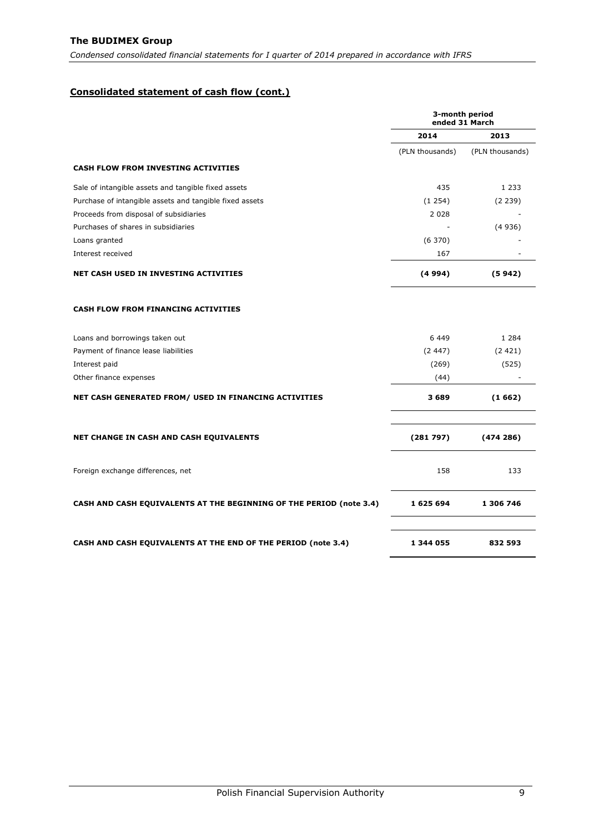# **Consolidated statement of cash flow (cont.)**

|                                                                     | 3-month period<br>ended 31 March |                 |  |
|---------------------------------------------------------------------|----------------------------------|-----------------|--|
|                                                                     | 2014                             | 2013            |  |
|                                                                     | (PLN thousands)                  | (PLN thousands) |  |
| <b>CASH FLOW FROM INVESTING ACTIVITIES</b>                          |                                  |                 |  |
| Sale of intangible assets and tangible fixed assets                 | 435                              | 1 2 3 3         |  |
| Purchase of intangible assets and tangible fixed assets             | (1254)                           | (2 239)         |  |
| Proceeds from disposal of subsidiaries                              | 2 0 2 8                          |                 |  |
| Purchases of shares in subsidiaries                                 |                                  | (4936)          |  |
| Loans granted                                                       | (6370)                           |                 |  |
| Interest received                                                   | 167                              |                 |  |
| NET CASH USED IN INVESTING ACTIVITIES                               | (4994)                           | (5942)          |  |
| <b>CASH FLOW FROM FINANCING ACTIVITIES</b>                          |                                  |                 |  |
| Loans and borrowings taken out                                      | 6449                             | 1 2 8 4         |  |
| Payment of finance lease liabilities                                | (2.447)                          | (2421)          |  |
| Interest paid                                                       | (269)                            | (525)           |  |
| Other finance expenses                                              | (44)                             |                 |  |
| NET CASH GENERATED FROM/ USED IN FINANCING ACTIVITIES               | 3689                             | (1662)          |  |
| NET CHANGE IN CASH AND CASH EQUIVALENTS                             | (281797)                         | (474286)        |  |
| Foreign exchange differences, net                                   | 158                              | 133             |  |
| CASH AND CASH EQUIVALENTS AT THE BEGINNING OF THE PERIOD (note 3.4) | 1 625 694                        | 1 306 746       |  |
| CASH AND CASH EQUIVALENTS AT THE END OF THE PERIOD (note 3.4)       | 1 344 055                        | 832 593         |  |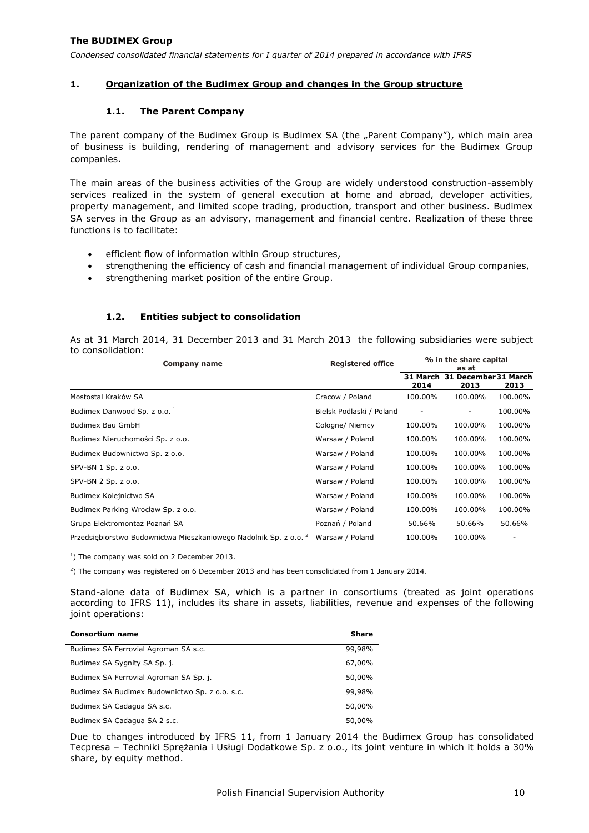# <span id="page-10-1"></span><span id="page-10-0"></span>**1. Organization of the Budimex Group and changes in the Group structure**

### **1.1. The Parent Company**

The parent company of the Budimex Group is Budimex SA (the "Parent Company"), which main area of business is building, rendering of management and advisory services for the Budimex Group companies.

The main areas of the business activities of the Group are widely understood construction-assembly services realized in the system of general execution at home and abroad, developer activities, property management, and limited scope trading, production, transport and other business. Budimex SA serves in the Group as an advisory, management and financial centre. Realization of these three functions is to facilitate:

- efficient flow of information within Group structures,
- strengthening the efficiency of cash and financial management of individual Group companies,
- strengthening market position of the entire Group.

### **1.2. Entities subject to consolidation**

<span id="page-10-2"></span>As at 31 March 2014, 31 December 2013 and 31 March 2013 the following subsidiaries were subject to consolidation:

| Company name                                                                 | <b>Registered office</b> | % in the share capital<br>as at |                              |         |  |
|------------------------------------------------------------------------------|--------------------------|---------------------------------|------------------------------|---------|--|
|                                                                              |                          | 31 March<br>2014                | 31 December 31 March<br>2013 | 2013    |  |
| Mostostal Kraków SA                                                          | Cracow / Poland          | 100.00%                         | 100.00%                      | 100.00% |  |
| Budimex Danwood Sp. z o.o. <sup>1</sup>                                      | Bielsk Podlaski / Poland |                                 |                              | 100.00% |  |
| Budimex Bau GmbH                                                             | Cologne/ Niemcy          | 100.00%                         | 100.00%                      | 100.00% |  |
| Budimex Nieruchomości Sp. z o.o.                                             | Warsaw / Poland          | 100.00%                         | 100.00%                      | 100.00% |  |
| Budimex Budownictwo Sp. z o.o.                                               | Warsaw / Poland          | 100.00%                         | 100.00%                      | 100.00% |  |
| $SPV-BN 1 Sp. z 0.0.$                                                        | Warsaw / Poland          | 100.00%                         | 100.00%                      | 100.00% |  |
| SPV-BN 2 Sp. z o.o.                                                          | Warsaw / Poland          | 100.00%                         | 100.00%                      | 100.00% |  |
| Budimex Kolejnictwo SA                                                       | Warsaw / Poland          | 100.00%                         | 100.00%                      | 100.00% |  |
| Budimex Parking Wrocław Sp. z o.o.                                           | Warsaw / Poland          | 100.00%                         | 100.00%                      | 100.00% |  |
| Grupa Elektromontaż Poznań SA                                                | Poznań / Poland          | 50.66%                          | 50.66%                       | 50.66%  |  |
| Przedsiębiorstwo Budownictwa Mieszkaniowego Nadolnik Sp. z o.o. <sup>2</sup> | Warsaw / Poland          | 100.00%                         | 100.00%                      |         |  |

 $<sup>1</sup>$ ) The company was sold on 2 December 2013.</sup>

2 ) The company was registered on 6 December 2013 and has been consolidated from 1 January 2014.

Stand-alone data of Budimex SA, which is a partner in consortiums (treated as joint operations according to IFRS 11), includes its share in assets, liabilities, revenue and expenses of the following joint operations:

| <b>Consortium name</b>                         | <b>Share</b> |
|------------------------------------------------|--------------|
| Budimex SA Ferrovial Agroman SA s.c.           | 99,98%       |
| Budimex SA Sygnity SA Sp. j.                   | 67,00%       |
| Budimex SA Ferrovial Agroman SA Sp. j.         | 50,00%       |
| Budimex SA Budimex Budownictwo Sp. z o.o. s.c. | 99,98%       |
| Budimex SA Cadagua SA s.c.                     | 50,00%       |
| Budimex SA Cadagua SA 2 s.c.                   | 50,00%       |

Due to changes introduced by IFRS 11, from 1 January 2014 the Budimex Group has consolidated Tecpresa – Techniki Sprężania i Usługi Dodatkowe Sp. z o.o., its joint venture in which it holds a 30% share, by equity method.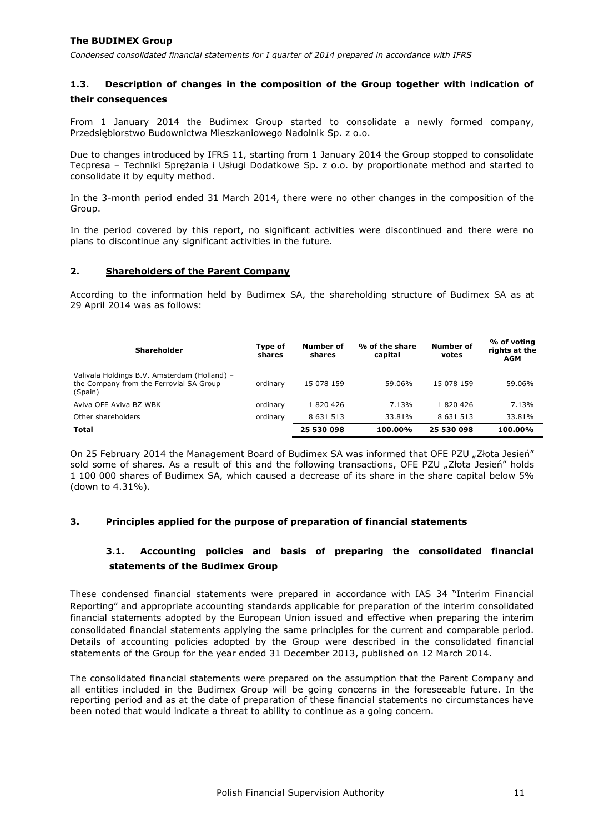# <span id="page-11-0"></span>**1.3. Description of changes in the composition of the Group together with indication of their consequences**

From 1 January 2014 the Budimex Group started to consolidate a newly formed company, Przedsiębiorstwo Budownictwa Mieszkaniowego Nadolnik Sp. z o.o.

Due to changes introduced by IFRS 11, starting from 1 January 2014 the Group stopped to consolidate Tecpresa – Techniki Sprężania i Usługi Dodatkowe Sp. z o.o. by proportionate method and started to consolidate it by equity method.

In the 3-month period ended 31 March 2014, there were no other changes in the composition of the Group.

In the period covered by this report, no significant activities were discontinued and there were no plans to discontinue any significant activities in the future.

### <span id="page-11-1"></span>**2. Shareholders of the Parent Company**

According to the information held by Budimex SA, the shareholding structure of Budimex SA as at 29 April 2014 was as follows:

| <b>Shareholder</b>                                                                                 | Type of<br>shares | Number of<br>shares | % of the share<br>capital | Number of<br>votes | % of voting<br>rights at the<br><b>AGM</b> |
|----------------------------------------------------------------------------------------------------|-------------------|---------------------|---------------------------|--------------------|--------------------------------------------|
| Valivala Holdings B.V. Amsterdam (Holland) -<br>the Company from the Ferrovial SA Group<br>(Spain) | ordinary          | 15 078 159          | 59.06%                    | 15 078 159         | 59.06%                                     |
| Aviva OFE Aviva BZ WBK                                                                             | ordinary          | 1820426             | 7.13%                     | 1820426            | 7.13%                                      |
| Other shareholders                                                                                 | ordinary          | 8 6 3 1 5 1 3       | 33.81%                    | 8 6 31 5 13        | 33.81%                                     |
| Total                                                                                              |                   | 25 530 098          | 100.00%                   | 25 530 098         | 100.00%                                    |

On 25 February 2014 the Management Board of Budimex SA was informed that OFE PZU "Złota Jesień" sold some of shares. As a result of this and the following transactions, OFE PZU "Złota Jesień" holds 1 100 000 shares of Budimex SA, which caused a decrease of its share in the share capital below 5% (down to 4.31%).

#### <span id="page-11-3"></span><span id="page-11-2"></span>**3. Principles applied for the purpose of preparation of financial statements**

# **3.1. Accounting policies and basis of preparing the consolidated financial statements of the Budimex Group**

These condensed financial statements were prepared in accordance with IAS 34 "Interim Financial Reporting" and appropriate accounting standards applicable for preparation of the interim consolidated financial statements adopted by the European Union issued and effective when preparing the interim consolidated financial statements applying the same principles for the current and comparable period. Details of accounting policies adopted by the Group were described in the consolidated financial statements of the Group for the year ended 31 December 2013, published on 12 March 2014.

The consolidated financial statements were prepared on the assumption that the Parent Company and all entities included in the Budimex Group will be going concerns in the foreseeable future. In the reporting period and as at the date of preparation of these financial statements no circumstances have been noted that would indicate a threat to ability to continue as a going concern.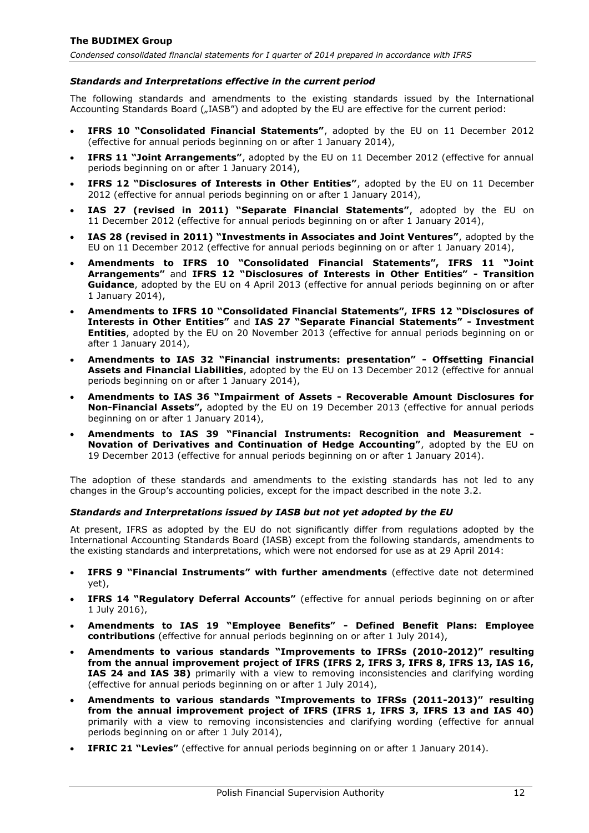### *Standards and Interpretations effective in the current period*

The following standards and amendments to the existing standards issued by the International Accounting Standards Board ("IASB") and adopted by the EU are effective for the current period:

- **IFRS 10 "Consolidated Financial Statements"**, adopted by the EU on 11 December 2012 (effective for annual periods beginning on or after 1 January 2014),
- **IFRS 11 "Joint Arrangements"**, adopted by the EU on 11 December 2012 (effective for annual periods beginning on or after 1 January 2014),
- **IFRS 12 "Disclosures of Interests in Other Entities"**, adopted by the EU on 11 December 2012 (effective for annual periods beginning on or after 1 January 2014),
- **IAS 27 (revised in 2011) "Separate Financial Statements"**, adopted by the EU on 11 December 2012 (effective for annual periods beginning on or after 1 January 2014),
- **IAS 28 (revised in 2011) "Investments in Associates and Joint Ventures"**, adopted by the EU on 11 December 2012 (effective for annual periods beginning on or after 1 January 2014),
- **Amendments to IFRS 10 "Consolidated Financial Statements", IFRS 11 "Joint Arrangements"** and **IFRS 12 "Disclosures of Interests in Other Entities" - Transition Guidance**, adopted by the EU on 4 April 2013 (effective for annual periods beginning on or after 1 January 2014),
- **Amendments to IFRS 10 "Consolidated Financial Statements", IFRS 12 "Disclosures of Interests in Other Entities"** and **IAS 27 "Separate Financial Statements" - Investment Entities**, adopted by the EU on 20 November 2013 (effective for annual periods beginning on or after 1 January 2014),
- **Amendments to IAS 32 "Financial instruments: presentation" - Offsetting Financial Assets and Financial Liabilities**, adopted by the EU on 13 December 2012 (effective for annual periods beginning on or after 1 January 2014),
- **Amendments to IAS 36 "Impairment of Assets - Recoverable Amount Disclosures for Non-Financial Assets",** adopted by the EU on 19 December 2013 (effective for annual periods beginning on or after 1 January 2014),
- **Amendments to IAS 39 "Financial Instruments: Recognition and Measurement - Novation of Derivatives and Continuation of Hedge Accounting"**, adopted by the EU on 19 December 2013 (effective for annual periods beginning on or after 1 January 2014).

The adoption of these standards and amendments to the existing standards has not led to any changes in the Group's accounting policies, except for the impact described in the note [3.2.](#page-13-0)

#### *Standards and Interpretations issued by IASB but not yet adopted by the EU*

At present, IFRS as adopted by the EU do not significantly differ from regulations adopted by the International Accounting Standards Board (IASB) except from the following standards, amendments to the existing standards and interpretations, which were not endorsed for use as at 29 April 2014:

- **IFRS 9 "Financial Instruments" with further amendments** (effective date not determined yet),
- **IFRS 14 "Regulatory Deferral Accounts"** (effective for annual periods beginning on or after 1 July 2016),
- **Amendments to IAS 19 "Employee Benefits" - Defined Benefit Plans: Employee contributions** (effective for annual periods beginning on or after 1 July 2014),
- **Amendments to various standards "Improvements to IFRSs (2010-2012)" resulting from the annual improvement project of IFRS (IFRS 2, IFRS 3, IFRS 8, IFRS 13, IAS 16, IAS 24 and IAS 38)** primarily with a view to removing inconsistencies and clarifying wording (effective for annual periods beginning on or after 1 July 2014),
- **Amendments to various standards "Improvements to IFRSs (2011-2013)" resulting from the annual improvement project of IFRS (IFRS 1, IFRS 3, IFRS 13 and IAS 40)** primarily with a view to removing inconsistencies and clarifying wording (effective for annual periods beginning on or after 1 July 2014),
- **IFRIC 21 "Levies"** (effective for annual periods beginning on or after 1 January 2014).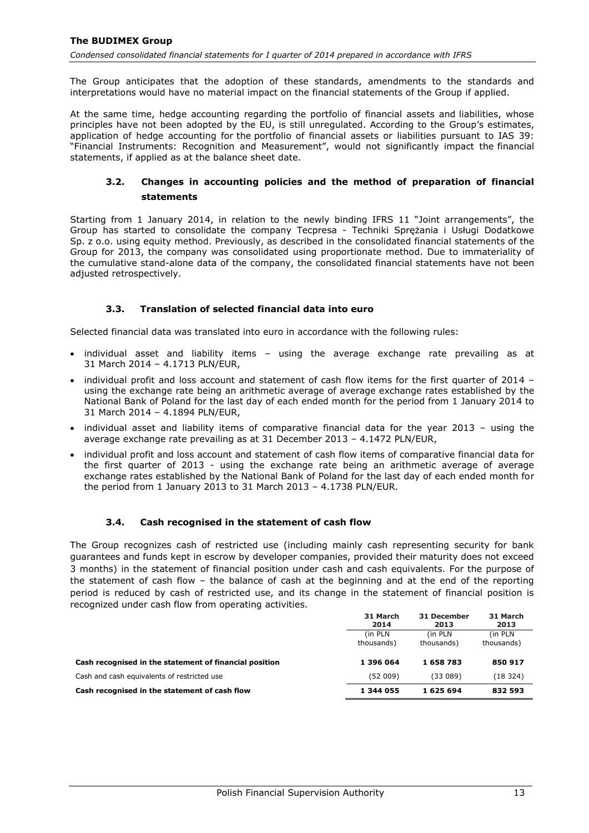The Group anticipates that the adoption of these standards, amendments to the standards and interpretations would have no material impact on the financial statements of the Group if applied.

At the same time, hedge accounting regarding the portfolio of financial assets and liabilities, whose principles have not been adopted by the EU, is still unregulated. According to the Group's estimates, application of hedge accounting for the portfolio of financial assets or liabilities pursuant to IAS 39: "Financial Instruments: Recognition and Measurement", would not significantly impact the financial statements, if applied as at the balance sheet date.

# <span id="page-13-0"></span>**3.2. Changes in accounting policies and the method of preparation of financial statements**

Starting from 1 January 2014, in relation to the newly binding IFRS 11 "Joint arrangements", the Group has started to consolidate the company Tecpresa - Techniki Sprężania i Usługi Dodatkowe Sp. z o.o. using equity method. Previously, as described in the consolidated financial statements of the Group for 2013, the company was consolidated using proportionate method. Due to immateriality of the cumulative stand-alone data of the company, the consolidated financial statements have not been adjusted retrospectively.

# **3.3. Translation of selected financial data into euro**

<span id="page-13-1"></span>Selected financial data was translated into euro in accordance with the following rules:

- individual asset and liability items using the average exchange rate prevailing as at 31 March 2014 – 4.1713 PLN/EUR,
- individual profit and loss account and statement of cash flow items for the first quarter of 2014 using the exchange rate being an arithmetic average of average exchange rates established by the National Bank of Poland for the last day of each ended month for the period from 1 January 2014 to 31 March 2014 – 4.1894 PLN/EUR,
- individual asset and liability items of comparative financial data for the year 2013 using the average exchange rate prevailing as at 31 December 2013 – 4.1472 PLN/EUR,
- individual profit and loss account and statement of cash flow items of comparative financial data for the first quarter of 2013 - using the exchange rate being an arithmetic average of average exchange rates established by the National Bank of Poland for the last day of each ended month for the period from 1 January 2013 to 31 March 2013 – 4.1738 PLN/EUR.

### **3.4. Cash recognised in the statement of cash flow**

<span id="page-13-2"></span>The Group recognizes cash of restricted use (including mainly cash representing security for bank guarantees and funds kept in escrow by developer companies, provided their maturity does not exceed 3 months) in the statement of financial position under cash and cash equivalents. For the purpose of the statement of cash flow – the balance of cash at the beginning and at the end of the reporting period is reduced by cash of restricted use, and its change in the statement of financial position is recognized under cash flow from operating activities.

<span id="page-13-3"></span>

|                                                        | 31 March<br>2014      | 31 December<br>2013    | 31 March<br>2013       |
|--------------------------------------------------------|-----------------------|------------------------|------------------------|
|                                                        | (in PLN<br>thousands) | (in PLN)<br>thousands) | (in PLN)<br>thousands) |
| Cash recognised in the statement of financial position | 1 396 064             | 1658783                | 850 917                |
| Cash and cash equivalents of restricted use            | (52 009)              | (33089)                | (18324)                |
| Cash recognised in the statement of cash flow          | 1 344 055             | 1625694                | 832 593                |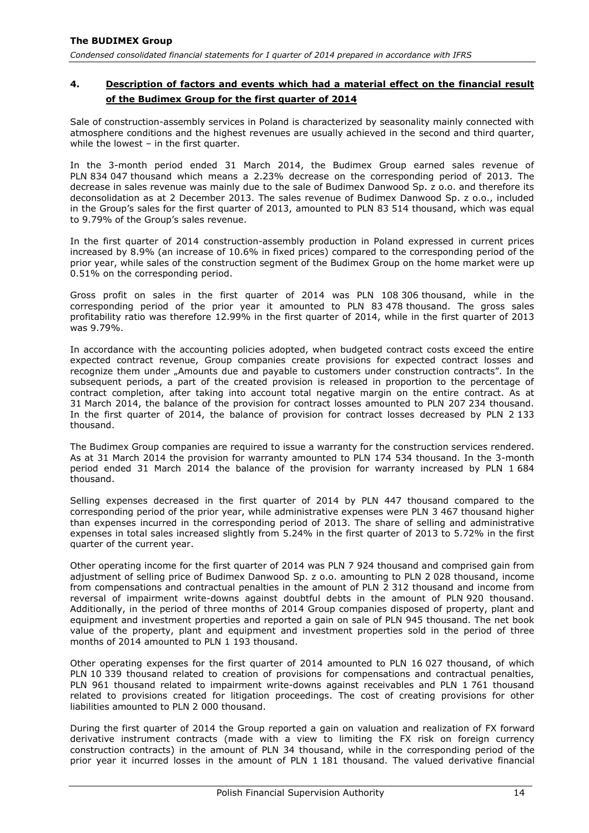# **4. Description of factors and events which had a material effect on the financial result of the Budimex Group for the first quarter of 2014**

Sale of construction-assembly services in Poland is characterized by seasonality mainly connected with atmosphere conditions and the highest revenues are usually achieved in the second and third quarter, while the lowest – in the first quarter.

In the 3-month period ended 31 March 2014, the Budimex Group earned sales revenue of PLN 834 047 thousand which means a 2.23% decrease on the corresponding period of 2013. The decrease in sales revenue was mainly due to the sale of Budimex Danwood Sp. z o.o. and therefore its deconsolidation as at 2 December 2013. The sales revenue of Budimex Danwood Sp. z o.o., included in the Group's sales for the first quarter of 2013, amounted to PLN 83 514 thousand, which was equal to 9.79% of the Group's sales revenue.

In the first quarter of 2014 construction-assembly production in Poland expressed in current prices increased by 8.9% (an increase of 10.6% in fixed prices) compared to the corresponding period of the prior year, while sales of the construction segment of the Budimex Group on the home market were up 0.51% on the corresponding period.

Gross profit on sales in the first quarter of 2014 was PLN 108 306 thousand, while in the corresponding period of the prior year it amounted to PLN 83 478 thousand. The gross sales profitability ratio was therefore 12.99% in the first quarter of 2014, while in the first quarter of 2013 was 9.79%.

In accordance with the accounting policies adopted, when budgeted contract costs exceed the entire expected contract revenue, Group companies create provisions for expected contract losses and recognize them under "Amounts due and payable to customers under construction contracts". In the subsequent periods, a part of the created provision is released in proportion to the percentage of contract completion, after taking into account total negative margin on the entire contract. As at 31 March 2014, the balance of the provision for contract losses amounted to PLN 207 234 thousand. In the first quarter of 2014, the balance of provision for contract losses decreased by PLN 2 133 thousand.

The Budimex Group companies are required to issue a warranty for the construction services rendered. As at 31 March 2014 the provision for warranty amounted to PLN 174 534 thousand. In the 3-month period ended 31 March 2014 the balance of the provision for warranty increased by PLN 1 684 thousand.

Selling expenses decreased in the first quarter of 2014 by PLN 447 thousand compared to the corresponding period of the prior year, while administrative expenses were PLN 3 467 thousand higher than expenses incurred in the corresponding period of 2013. The share of selling and administrative expenses in total sales increased slightly from 5.24% in the first quarter of 2013 to 5.72% in the first quarter of the current year.

Other operating income for the first quarter of 2014 was PLN 7 924 thousand and comprised gain from adjustment of selling price of Budimex Danwood Sp. z o.o. amounting to PLN 2 028 thousand, income from compensations and contractual penalties in the amount of PLN 2 312 thousand and income from reversal of impairment write-downs against doubtful debts in the amount of PLN 920 thousand. Additionally, in the period of three months of 2014 Group companies disposed of property, plant and equipment and investment properties and reported a gain on sale of PLN 945 thousand. The net book value of the property, plant and equipment and investment properties sold in the period of three months of 2014 amounted to PLN 1 193 thousand.

Other operating expenses for the first quarter of 2014 amounted to PLN 16 027 thousand, of which PLN 10 339 thousand related to creation of provisions for compensations and contractual penalties, PLN 961 thousand related to impairment write-downs against receivables and PLN 1 761 thousand related to provisions created for litigation proceedings. The cost of creating provisions for other liabilities amounted to PLN 2 000 thousand.

During the first quarter of 2014 the Group reported a gain on valuation and realization of FX forward derivative instrument contracts (made with a view to limiting the FX risk on foreign currency construction contracts) in the amount of PLN 34 thousand, while in the corresponding period of the prior year it incurred losses in the amount of PLN 1 181 thousand. The valued derivative financial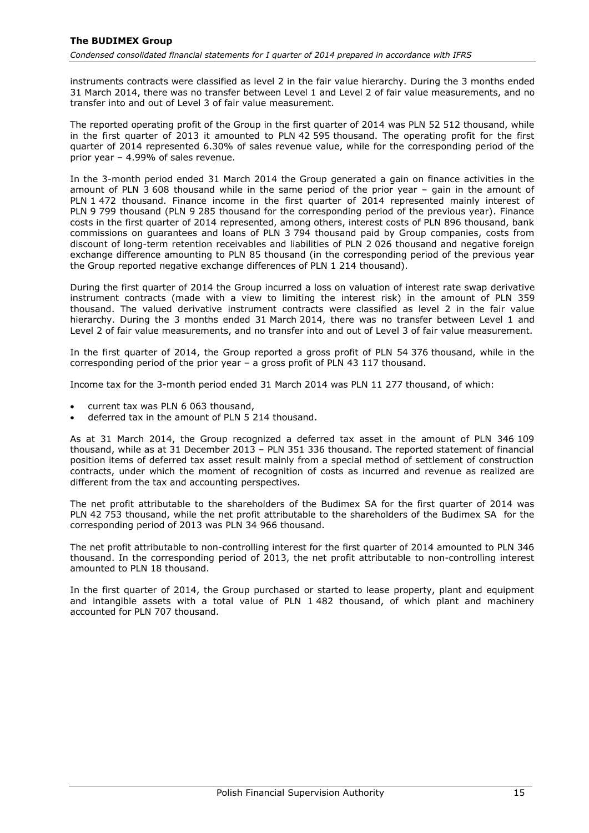instruments contracts were classified as level 2 in the fair value hierarchy. During the 3 months ended 31 March 2014, there was no transfer between Level 1 and Level 2 of fair value measurements, and no transfer into and out of Level 3 of fair value measurement.

The reported operating profit of the Group in the first quarter of 2014 was PLN 52 512 thousand, while in the first quarter of 2013 it amounted to PLN 42 595 thousand. The operating profit for the first quarter of 2014 represented 6.30% of sales revenue value, while for the corresponding period of the prior year – 4.99% of sales revenue.

In the 3-month period ended 31 March 2014 the Group generated a gain on finance activities in the amount of PLN 3 608 thousand while in the same period of the prior year – gain in the amount of PLN 1 472 thousand. Finance income in the first quarter of 2014 represented mainly interest of PLN 9 799 thousand (PLN 9 285 thousand for the corresponding period of the previous year). Finance costs in the first quarter of 2014 represented, among others, interest costs of PLN 896 thousand, bank commissions on guarantees and loans of PLN 3 794 thousand paid by Group companies, costs from discount of long-term retention receivables and liabilities of PLN 2 026 thousand and negative foreign exchange difference amounting to PLN 85 thousand (in the corresponding period of the previous year the Group reported negative exchange differences of PLN 1 214 thousand).

During the first quarter of 2014 the Group incurred a loss on valuation of interest rate swap derivative instrument contracts (made with a view to limiting the interest risk) in the amount of PLN 359 thousand. The valued derivative instrument contracts were classified as level 2 in the fair value hierarchy. During the 3 months ended 31 March 2014, there was no transfer between Level 1 and Level 2 of fair value measurements, and no transfer into and out of Level 3 of fair value measurement.

In the first quarter of 2014, the Group reported a gross profit of PLN 54 376 thousand, while in the corresponding period of the prior year – a gross profit of PLN 43 117 thousand.

Income tax for the 3-month period ended 31 March 2014 was PLN 11 277 thousand, of which:

- current tax was PLN 6 063 thousand,
- deferred tax in the amount of PLN 5 214 thousand.

As at 31 March 2014, the Group recognized a deferred tax asset in the amount of PLN 346 109 thousand, while as at 31 December 2013 – PLN 351 336 thousand. The reported statement of financial position items of deferred tax asset result mainly from a special method of settlement of construction contracts, under which the moment of recognition of costs as incurred and revenue as realized are different from the tax and accounting perspectives.

The net profit attributable to the shareholders of the Budimex SA for the first quarter of 2014 was PLN 42 753 thousand, while the net profit attributable to the shareholders of the Budimex SA for the corresponding period of 2013 was PLN 34 966 thousand.

The net profit attributable to non-controlling interest for the first quarter of 2014 amounted to PLN 346 thousand. In the corresponding period of 2013, the net profit attributable to non-controlling interest amounted to PLN 18 thousand.

In the first quarter of 2014, the Group purchased or started to lease property, plant and equipment and intangible assets with a total value of PLN 1 482 thousand, of which plant and machinery accounted for PLN 707 thousand.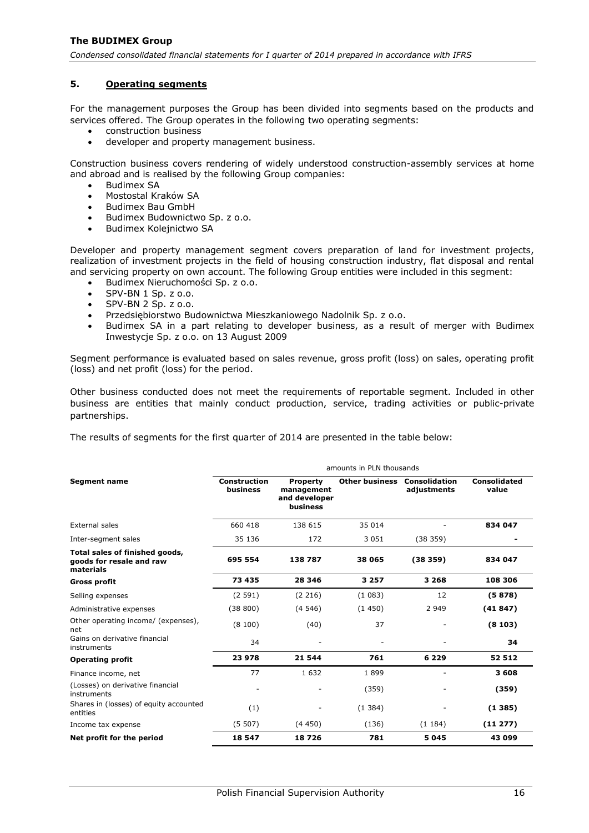# <span id="page-16-0"></span>**5. Operating segments**

For the management purposes the Group has been divided into segments based on the products and services offered. The Group operates in the following two operating segments:

- construction business
- developer and property management business.

Construction business covers rendering of widely understood construction-assembly services at home and abroad and is realised by the following Group companies:

- Budimex SA
- Mostostal Kraków SA
- Budimex Bau GmbH
- Budimex Budownictwo Sp. z o.o.
- Budimex Kolejnictwo SA

Developer and property management segment covers preparation of land for investment projects, realization of investment projects in the field of housing construction industry, flat disposal and rental and servicing property on own account. The following Group entities were included in this segment:

- Budimex Nieruchomości Sp. z o.o.
- SPV-BN 1 Sp. z o.o.
- SPV-BN 2 Sp. z o.o.
- Przedsiębiorstwo Budownictwa Mieszkaniowego Nadolnik Sp. z o.o.
- Budimex SA in a part relating to developer business, as a result of merger with Budimex Inwestycje Sp. z o.o. on 13 August 2009

Segment performance is evaluated based on sales revenue, gross profit (loss) on sales, operating profit (loss) and net profit (loss) for the period.

Other business conducted does not meet the requirements of reportable segment. Included in other business are entities that mainly conduct production, service, trading activities or public-private partnerships.

The results of segments for the first quarter of 2014 are presented in the table below:

|                                                                         | amounts in PLN thousands        |                                                            |                                     |             |                       |  |  |
|-------------------------------------------------------------------------|---------------------------------|------------------------------------------------------------|-------------------------------------|-------------|-----------------------|--|--|
| <b>Segment name</b>                                                     | <b>Construction</b><br>business | <b>Property</b><br>management<br>and developer<br>business | <b>Other business Consolidation</b> | adjustments | Consolidated<br>value |  |  |
| External sales                                                          | 660 418                         | 138 615                                                    | 35 014                              |             | 834 047               |  |  |
| Inter-segment sales                                                     | 35 136                          | 172                                                        | 3 0 5 1                             | (38359)     |                       |  |  |
| Total sales of finished goods,<br>goods for resale and raw<br>materials | 695 554                         | 138787                                                     | 38 065                              | (38359)     | 834 047               |  |  |
| <b>Gross profit</b>                                                     | 73 435                          | 28 346                                                     | 3 2 5 7                             | 3 2 6 8     | 108 306               |  |  |
| Selling expenses                                                        | (2591)                          | (2216)                                                     | (1083)                              | 12          | (5878)                |  |  |
| Administrative expenses                                                 | (38800)                         | (4546)                                                     | (1450)                              | 2 9 4 9     | (41847)               |  |  |
| Other operating income/ (expenses),<br>net                              | (8100)                          | (40)                                                       | 37                                  |             | (8103)                |  |  |
| Gains on derivative financial<br>instruments                            | 34                              |                                                            |                                     |             | 34                    |  |  |
| <b>Operating profit</b>                                                 | 23 978                          | 21 544                                                     | 761                                 | 6 2 2 9     | 52 512                |  |  |
| Finance income, net                                                     | 77                              | 1632                                                       | 1899                                |             | 3608                  |  |  |
| (Losses) on derivative financial<br>instruments                         |                                 |                                                            | (359)                               |             | (359)                 |  |  |
| Shares in (losses) of equity accounted<br>entities                      | (1)                             |                                                            | (1384)                              |             | (1385)                |  |  |
| Income tax expense                                                      | (5507)                          | (4450)                                                     | (136)                               | (1184)      | (11 277)              |  |  |
| Net profit for the period                                               | 18 547                          | 18726                                                      | 781                                 | 5 0 4 5     | 43 099                |  |  |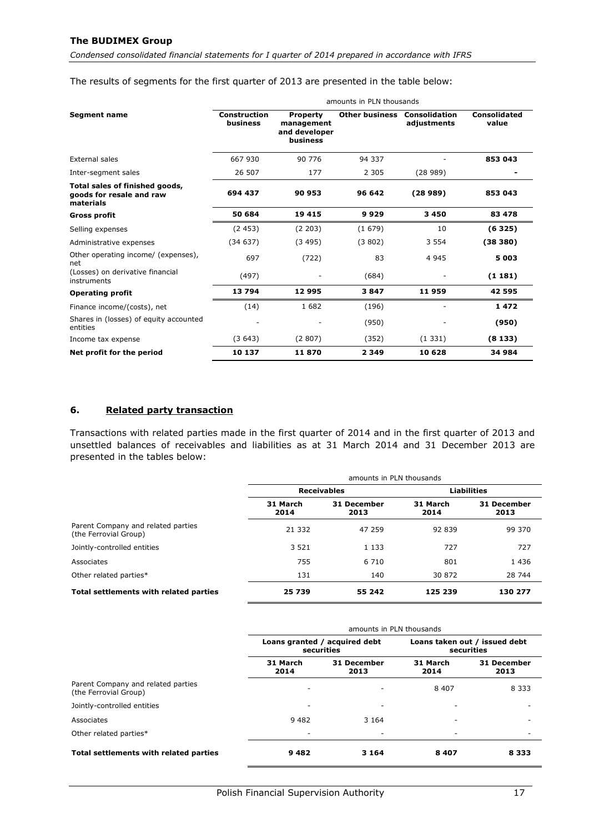*Condensed consolidated financial statements for I quarter of 2014 prepared in accordance with IFRS*

The results of segments for the first quarter of 2013 are presented in the table below:

|                                                                         | amounts in PLN thousands        |                                                            |                       |                                     |                       |  |
|-------------------------------------------------------------------------|---------------------------------|------------------------------------------------------------|-----------------------|-------------------------------------|-----------------------|--|
| <b>Segment name</b>                                                     | <b>Construction</b><br>business | <b>Property</b><br>management<br>and developer<br>business | <b>Other business</b> | <b>Consolidation</b><br>adjustments | Consolidated<br>value |  |
| External sales                                                          | 667 930                         | 90 776                                                     | 94 337                |                                     | 853 043               |  |
| Inter-segment sales                                                     | 26 507                          | 177                                                        | 2 3 0 5               | (28989)                             |                       |  |
| Total sales of finished goods,<br>goods for resale and raw<br>materials | 694 437                         | 90 953                                                     | 96 642                | (28989)                             | 853 043               |  |
| <b>Gross profit</b>                                                     | 50 684                          | 19 4 15                                                    | 9929                  | 3 4 5 0                             | 83 478                |  |
| Selling expenses                                                        | (2453)                          | (2 203)                                                    | (1679)                | 10                                  | (6325)                |  |
| Administrative expenses                                                 | (34637)                         | (3495)                                                     | (3802)                | 3 5 5 4                             | (38380)               |  |
| Other operating income/ (expenses),<br>net                              | 697                             | (722)                                                      | 83                    | 4 9 4 5                             | 5 0 0 3               |  |
| (Losses) on derivative financial<br>instruments                         | (497)                           |                                                            | (684)                 |                                     | (1181)                |  |
| <b>Operating profit</b>                                                 | 13794                           | 12995                                                      | 3847                  | 11959                               | 42 595                |  |
| Finance income/(costs), net                                             | (14)                            | 1682                                                       | (196)                 |                                     | 1472                  |  |
| Shares in (losses) of equity accounted<br>entities                      |                                 |                                                            | (950)                 |                                     | (950)                 |  |
| Income tax expense                                                      | (3643)                          | (2807)                                                     | (352)                 | (1331)                              | (8133)                |  |
| Net profit for the period                                               | 10 137                          | 11870                                                      | 2 3 4 9               | 10 628                              | 34 984                |  |

# <span id="page-17-0"></span>**6. Related party transaction**

Transactions with related parties made in the first quarter of 2014 and in the first quarter of 2013 and unsettled balances of receivables and liabilities as at 31 March 2014 and 31 December 2013 are presented in the tables below:

|                                                             | amounts in PLN thousands |                     |                  |                     |  |
|-------------------------------------------------------------|--------------------------|---------------------|------------------|---------------------|--|
|                                                             | <b>Receivables</b>       |                     |                  | <b>Liabilities</b>  |  |
|                                                             | 31 March<br>2014         | 31 December<br>2013 | 31 March<br>2014 | 31 December<br>2013 |  |
| Parent Company and related parties<br>(the Ferrovial Group) | 21 3 3 2                 | 47 259              | 92839            | 99 370              |  |
| Jointly-controlled entities                                 | 3 5 2 1                  | 1 1 3 3             | 727              | 727                 |  |
| Associates                                                  | 755                      | 6 7 1 0             | 801              | 1 4 3 6             |  |
| Other related parties*                                      | 131                      | 140                 | 30 872           | 28 744              |  |
| Total settlements with related parties                      | 25 739                   | 55 242              | 125 239          | 130 277             |  |

|                                                             | amounts in PLN thousands                    |                     |                                             |                     |  |
|-------------------------------------------------------------|---------------------------------------------|---------------------|---------------------------------------------|---------------------|--|
|                                                             | Loans granted / acquired debt<br>securities |                     | Loans taken out / issued debt<br>securities |                     |  |
|                                                             | 31 March<br>2014                            | 31 December<br>2013 | 31 March<br>2014                            | 31 December<br>2013 |  |
| Parent Company and related parties<br>(the Ferrovial Group) |                                             | -                   | 8 4 0 7                                     | 8 3 3 3             |  |
| Jointly-controlled entities                                 | -                                           | ۰                   |                                             |                     |  |
| Associates                                                  | 9482                                        | 3 1 6 4             |                                             |                     |  |
| Other related parties*                                      |                                             | ٠                   | $\sim$                                      |                     |  |
| Total settlements with related parties                      | 9482                                        | 3 1 6 4             | 8407                                        | 8 3 3 3             |  |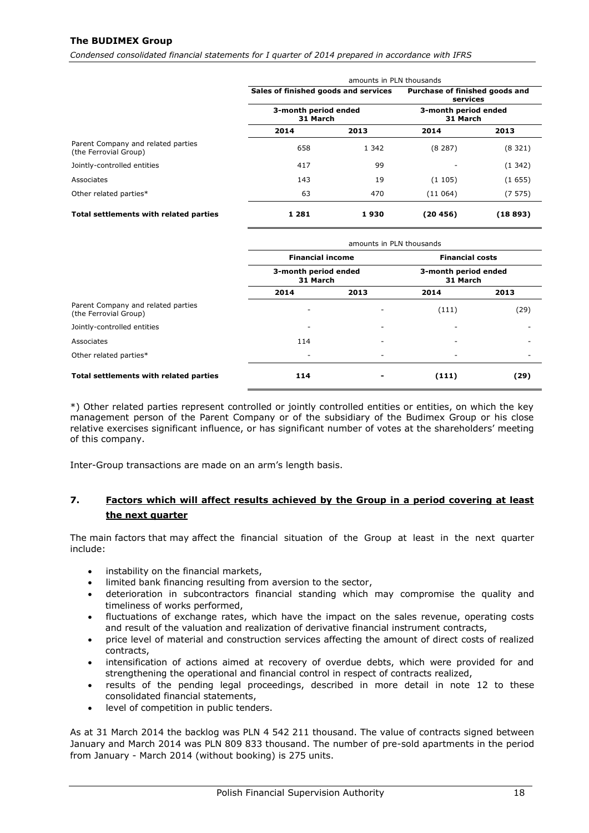*Condensed consolidated financial statements for I quarter of 2014 prepared in accordance with IFRS*

|                                                             | amounts in PLN thousands             |         |                                            |          |  |
|-------------------------------------------------------------|--------------------------------------|---------|--------------------------------------------|----------|--|
|                                                             | Sales of finished goods and services |         | Purchase of finished goods and<br>services |          |  |
|                                                             | 3-month period ended<br>31 March     |         | 3-month period ended<br>31 March           |          |  |
|                                                             | 2014                                 | 2013    | 2014                                       | 2013     |  |
| Parent Company and related parties<br>(the Ferrovial Group) | 658                                  | 1 3 4 2 | (8287)                                     | (8321)   |  |
| Jointly-controlled entities                                 | 417                                  | 99      |                                            | (1342)   |  |
| Associates                                                  | 143                                  | 19      | (1105)                                     | (1655)   |  |
| Other related parties*                                      | 63                                   | 470     | (11064)                                    | (7575)   |  |
| Total settlements with related parties                      | 1 2 8 1                              | 1930    | (20 456)                                   | (18 893) |  |

|                                                             | amounts in PLN thousands         |      |                                  |      |  |
|-------------------------------------------------------------|----------------------------------|------|----------------------------------|------|--|
|                                                             | <b>Financial income</b>          |      | <b>Financial costs</b>           |      |  |
|                                                             | 3-month period ended<br>31 March |      | 3-month period ended<br>31 March |      |  |
|                                                             | 2014                             | 2013 | 2014                             | 2013 |  |
| Parent Company and related parties<br>(the Ferrovial Group) | ۰                                | ٠    | (111)                            | (29) |  |
| Jointly-controlled entities                                 | -                                | -    | ۰                                |      |  |
| Associates                                                  | 114                              | ٠    | ۰                                |      |  |
| Other related parties*                                      |                                  | ٠    |                                  |      |  |
| Total settlements with related parties                      | 114                              |      | (111)                            | (29) |  |

\*) Other related parties represent controlled or jointly controlled entities or entities, on which the key management person of the Parent Company or of the subsidiary of the Budimex Group or his close relative exercises significant influence, or has significant number of votes at the shareholders' meeting of this company.

Inter-Group transactions are made on an arm's length basis.

# <span id="page-18-0"></span>**7. Factors which will affect results achieved by the Group in a period covering at least the next quarter**

The main factors that may affect the financial situation of the Group at least in the next quarter include:

- instability on the financial markets,
- limited bank financing resulting from aversion to the sector,
- deterioration in subcontractors financial standing which may compromise the quality and timeliness of works performed,
- fluctuations of exchange rates, which have the impact on the sales revenue, operating costs and result of the valuation and realization of derivative financial instrument contracts,
- price level of material and construction services affecting the amount of direct costs of realized contracts,
- intensification of actions aimed at recovery of overdue debts, which were provided for and strengthening the operational and financial control in respect of contracts realized,
- results of the pending legal proceedings, described in more detail in note [12](#page-21-3) to these consolidated financial statements,
- level of competition in public tenders.

As at 31 March 2014 the backlog was PLN 4 542 211 thousand. The value of contracts signed between January and March 2014 was PLN 809 833 thousand. The number of pre-sold apartments in the period from January - March 2014 (without booking) is 275 units.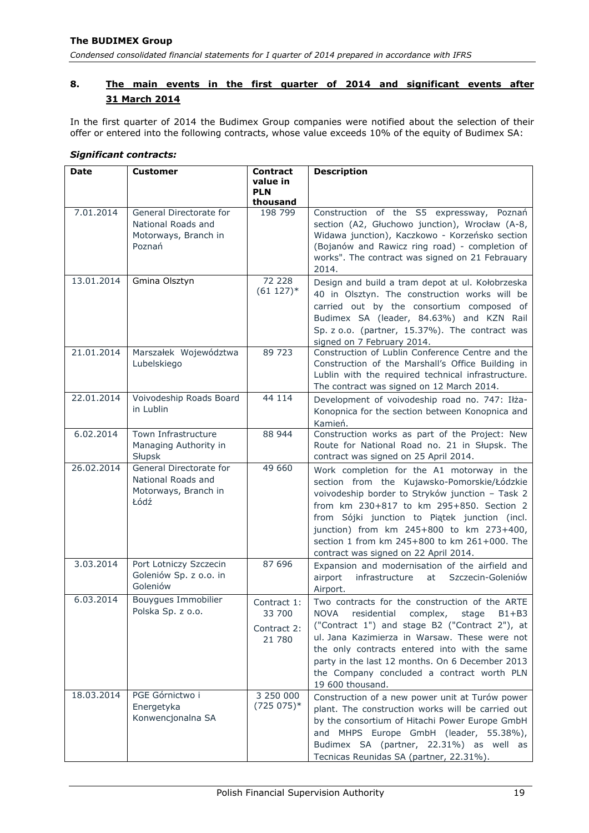# <span id="page-19-0"></span>**8. The main events in the first quarter of 2014 and significant events after 31 March 2014**

In the first quarter of 2014 the Budimex Group companies were notified about the selection of their offer or entered into the following contracts, whose value exceeds 10% of the equity of Budimex SA:

| Date       | <b>Customer</b>                                                                 | <b>Contract</b>                                | <b>Description</b>                                                                                                                                                                                                                                                                                                                                                               |
|------------|---------------------------------------------------------------------------------|------------------------------------------------|----------------------------------------------------------------------------------------------------------------------------------------------------------------------------------------------------------------------------------------------------------------------------------------------------------------------------------------------------------------------------------|
|            |                                                                                 | value in<br><b>PLN</b>                         |                                                                                                                                                                                                                                                                                                                                                                                  |
|            |                                                                                 | thousand                                       |                                                                                                                                                                                                                                                                                                                                                                                  |
| 7.01.2014  | General Directorate for<br>National Roads and<br>Motorways, Branch in<br>Poznań | 198 799                                        | Construction of the S5 expressway, Poznań<br>section (A2, Głuchowo junction), Wrocław (A-8,<br>Widawa junction), Kaczkowo - Korzeńsko section<br>(Bojanów and Rawicz ring road) - completion of<br>works". The contract was signed on 21 Febrauary<br>2014.                                                                                                                      |
| 13.01.2014 | Gmina Olsztyn                                                                   | 72 228<br>$(61 127)*$                          | Design and build a tram depot at ul. Kołobrzeska<br>40 in Olsztyn. The construction works will be<br>carried out by the consortium composed of<br>Budimex SA (leader, 84.63%) and KZN Rail<br>Sp. z o.o. (partner, 15.37%). The contract was<br>signed on 7 February 2014.                                                                                                       |
| 21.01.2014 | Marszałek Województwa<br>Lubelskiego                                            | 89 723                                         | Construction of Lublin Conference Centre and the<br>Construction of the Marshall's Office Building in<br>Lublin with the required technical infrastructure.<br>The contract was signed on 12 March 2014.                                                                                                                                                                         |
| 22.01.2014 | Voivodeship Roads Board<br>in Lublin                                            | 44 114                                         | Development of voivodeship road no. 747: Iłża-<br>Konopnica for the section between Konopnica and<br>Kamień.                                                                                                                                                                                                                                                                     |
| 6.02.2014  | Town Infrastructure<br>Managing Authority in<br>Słupsk                          | 88 944                                         | Construction works as part of the Project: New<br>Route for National Road no. 21 in Słupsk. The<br>contract was signed on 25 April 2014.                                                                                                                                                                                                                                         |
| 26.02.2014 | General Directorate for<br>National Roads and<br>Motorways, Branch in<br>Łódź   | 49 660                                         | Work completion for the A1 motorway in the<br>section from the Kujawsko-Pomorskie/Łódzkie<br>voivodeship border to Stryków junction - Task 2<br>from km 230+817 to km 295+850. Section 2<br>from Sójki junction to Piątek junction (incl.<br>junction) from km 245+800 to km 273+400,<br>section 1 from km 245+800 to km 261+000. The<br>contract was signed on 22 April 2014.   |
| 3.03.2014  | Port Lotniczy Szczecin<br>Goleniów Sp. z o.o. in<br>Goleniów                    | 87 696                                         | Expansion and modernisation of the airfield and<br>airport<br>infrastructure<br>at<br>Szczecin-Goleniów<br>Airport.                                                                                                                                                                                                                                                              |
| 6.03.2014  | Bouygues Immobilier<br>Polska Sp. z o.o.                                        | Contract 1:<br>33 700<br>Contract 2:<br>21 780 | Two contracts for the construction of the ARTE<br>residential<br>complex,<br>stage<br>NOVA<br>$B1 + B3$<br>("Contract 1") and stage B2 ("Contract 2"), at<br>ul. Jana Kazimierza in Warsaw. These were not<br>the only contracts entered into with the same<br>party in the last 12 months. On 6 December 2013<br>the Company concluded a contract worth PLN<br>19 600 thousand. |
| 18.03.2014 | PGE Górnictwo i<br>Energetyka<br>Konwencjonalna SA                              | 3 250 000<br>$(725075)*$                       | Construction of a new power unit at Turów power<br>plant. The construction works will be carried out<br>by the consortium of Hitachi Power Europe GmbH<br>and MHPS Europe GmbH (leader, 55.38%),<br>Budimex SA (partner, 22.31%) as well as<br>Tecnicas Reunidas SA (partner, 22.31%).                                                                                           |

#### *Significant contracts:*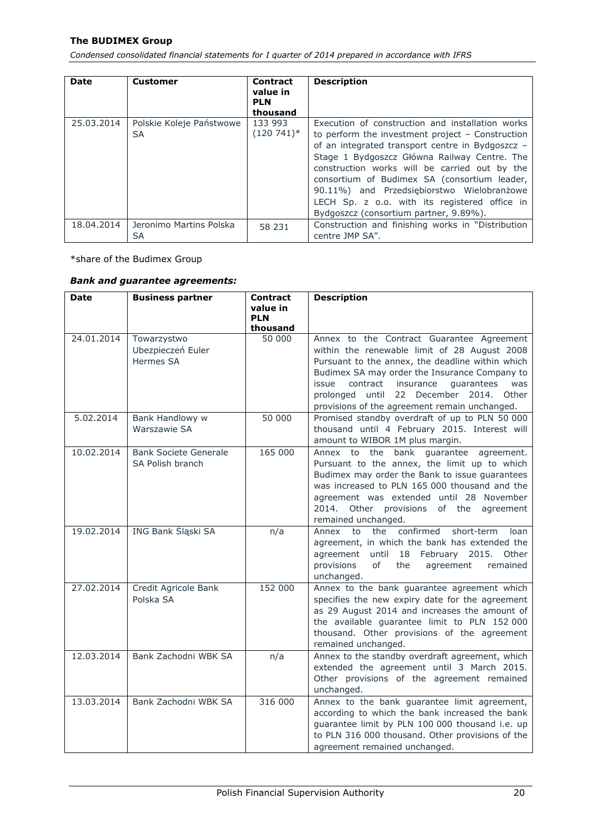*Condensed consolidated financial statements for I quarter of 2014 prepared in accordance with IFRS*

| <b>Date</b> | <b>Customer</b>                | <b>Contract</b><br>value in<br><b>PLN</b><br>thousand | <b>Description</b>                                                                                                                                                                                                                                                                                                                                                                                                                                   |
|-------------|--------------------------------|-------------------------------------------------------|------------------------------------------------------------------------------------------------------------------------------------------------------------------------------------------------------------------------------------------------------------------------------------------------------------------------------------------------------------------------------------------------------------------------------------------------------|
| 25.03.2014  | Polskie Koleje Państwowe<br>SA | 133 993<br>$(120741)^*$                               | Execution of construction and installation works<br>to perform the investment project $-$ Construction<br>of an integrated transport centre in Bydgoszcz -<br>Stage 1 Bydgoszcz Główna Railway Centre. The<br>construction works will be carried out by the<br>consortium of Budimex SA (consortium leader,<br>90.11%) and Przedsiębiorstwo Wielobranżowe<br>LECH Sp. z o.o. with its registered office in<br>Bydgoszcz (consortium partner, 9.89%). |
| 18.04.2014  | Jeronimo Martins Polska<br>SΑ  | 58 231                                                | Construction and finishing works in "Distribution"<br>centre JMP SA".                                                                                                                                                                                                                                                                                                                                                                                |

\*share of the Budimex Group

# *Bank and guarantee agreements:*

| <b>Date</b> | <b>Business partner</b>                          | <b>Contract</b><br>value in | <b>Description</b>                                                                                                                                                                                                                                                                                                                                             |
|-------------|--------------------------------------------------|-----------------------------|----------------------------------------------------------------------------------------------------------------------------------------------------------------------------------------------------------------------------------------------------------------------------------------------------------------------------------------------------------------|
|             |                                                  | <b>PLN</b><br>thousand      |                                                                                                                                                                                                                                                                                                                                                                |
| 24.01.2014  | Towarzystwo<br>Ubezpieczeń Euler<br>Hermes SA    | 50000                       | Annex to the Contract Guarantee Agreement<br>within the renewable limit of 28 August 2008<br>Pursuant to the annex, the deadline within which<br>Budimex SA may order the Insurance Company to<br>issue<br>contract<br>insurance<br>quarantees<br>was<br>prolonged until<br>22 December 2014.<br><b>Other</b><br>provisions of the agreement remain unchanged. |
| 5.02.2014   | Bank Handlowy w<br>Warszawie SA                  | 50 000                      | Promised standby overdraft of up to PLN 50 000<br>thousand until 4 February 2015. Interest will<br>amount to WIBOR 1M plus margin.                                                                                                                                                                                                                             |
| 10.02.2014  | <b>Bank Societe Generale</b><br>SA Polish branch | 165 000                     | Annex to the bank guarantee agreement.<br>Pursuant to the annex, the limit up to which<br>Budimex may order the Bank to issue guarantees<br>was increased to PLN 165 000 thousand and the<br>agreement was extended until 28 November<br>2014. Other provisions of the<br>agreement<br>remained unchanged.                                                     |
| 19.02.2014  | ING Bank Śląski SA                               | n/a                         | confirmed<br>Annex<br>the<br>short-term<br>to<br>loan<br>agreement, in which the bank has extended the<br>until 18 February 2015. Other<br>agreement<br>provisions<br>of<br>the<br>agreement<br>remained<br>unchanged.                                                                                                                                         |
| 27.02.2014  | Credit Agricole Bank<br>Polska SA                | 152 000                     | Annex to the bank guarantee agreement which<br>specifies the new expiry date for the agreement<br>as 29 August 2014 and increases the amount of<br>the available guarantee limit to PLN 152 000<br>thousand. Other provisions of the agreement<br>remained unchanged.                                                                                          |
| 12.03.2014  | Bank Zachodni WBK SA                             | n/a                         | Annex to the standby overdraft agreement, which<br>extended the agreement until 3 March 2015.<br>Other provisions of the agreement remained<br>unchanged.                                                                                                                                                                                                      |
| 13.03.2014  | Bank Zachodni WBK SA                             | 316 000                     | Annex to the bank guarantee limit agreement,<br>according to which the bank increased the bank<br>guarantee limit by PLN 100 000 thousand i.e. up<br>to PLN 316 000 thousand. Other provisions of the<br>agreement remained unchanged.                                                                                                                         |

Polish Financial Supervision Authority 20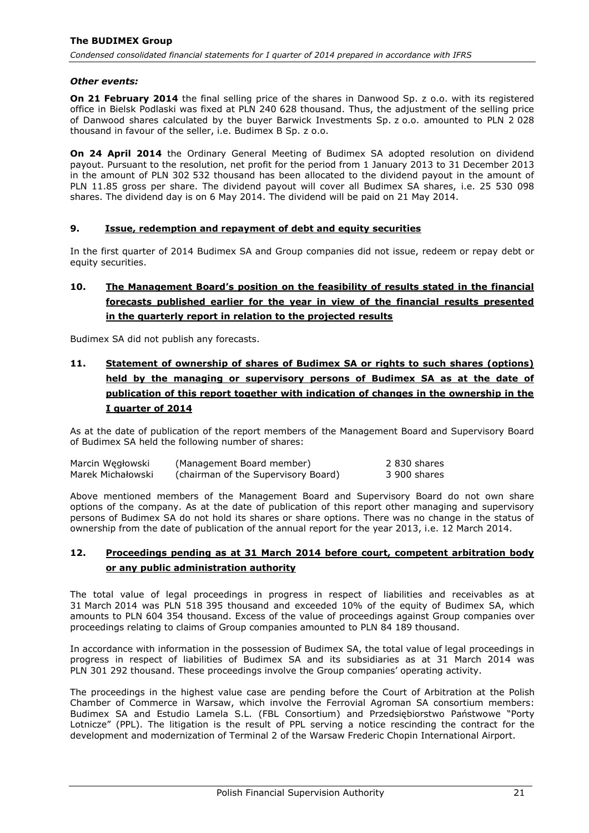### *Other events:*

**On 21 February 2014** the final selling price of the shares in Danwood Sp. z o.o. with its registered office in Bielsk Podlaski was fixed at PLN 240 628 thousand. Thus, the adjustment of the selling price of Danwood shares calculated by the buyer Barwick Investments Sp. z o.o. amounted to PLN 2 028 thousand in favour of the seller, i.e. Budimex B Sp. z o.o.

**On 24 April 2014** the Ordinary General Meeting of Budimex SA adopted resolution on dividend payout. Pursuant to the resolution, net profit for the period from 1 January 2013 to 31 December 2013 in the amount of PLN 302 532 thousand has been allocated to the dividend payout in the amount of PLN 11.85 gross per share. The dividend payout will cover all Budimex SA shares, i.e. 25 530 098 shares. The dividend day is on 6 May 2014. The dividend will be paid on 21 May 2014.

### <span id="page-21-0"></span>**9. Issue, redemption and repayment of debt and equity securities**

In the first quarter of 2014 Budimex SA and Group companies did not issue, redeem or repay debt or equity securities.

# <span id="page-21-1"></span>**10. The Management Board's position on the feasibility of results stated in the financial forecasts published earlier for the year in view of the financial results presented in the quarterly report in relation to the projected results**

Budimex SA did not publish any forecasts.

<span id="page-21-2"></span>**11. Statement of ownership of shares of Budimex SA or rights to such shares (options) held by the managing or supervisory persons of Budimex SA as at the date of publication of this report together with indication of changes in the ownership in the I quarter of 2014**

As at the date of publication of the report members of the Management Board and Supervisory Board of Budimex SA held the following number of shares:

| Marcin Wegłowski  | (Management Board member)           | 2830 shares  |
|-------------------|-------------------------------------|--------------|
| Marek Michałowski | (chairman of the Supervisory Board) | 3 900 shares |

Above mentioned members of the Management Board and Supervisory Board do not own share options of the company. As at the date of publication of this report other managing and supervisory persons of Budimex SA do not hold its shares or share options. There was no change in the status of ownership from the date of publication of the annual report for the year 2013, i.e. 12 March 2014.

### <span id="page-21-3"></span>**12. Proceedings pending as at 31 March 2014 before court, competent arbitration body or any public administration authority**

The total value of legal proceedings in progress in respect of liabilities and receivables as at 31 March 2014 was PLN 518 395 thousand and exceeded 10% of the equity of Budimex SA, which amounts to PLN 604 354 thousand. Excess of the value of proceedings against Group companies over proceedings relating to claims of Group companies amounted to PLN 84 189 thousand.

In accordance with information in the possession of Budimex SA, the total value of legal proceedings in progress in respect of liabilities of Budimex SA and its subsidiaries as at 31 March 2014 was PLN 301 292 thousand. These proceedings involve the Group companies' operating activity.

The proceedings in the highest value case are pending before the Court of Arbitration at the Polish Chamber of Commerce in Warsaw, which involve the Ferrovial Agroman SA consortium members: Budimex SA and Estudio Lamela S.L. (FBL Consortium) and Przedsiębiorstwo Państwowe "Porty Lotnicze" (PPL). The litigation is the result of PPL serving a notice rescinding the contract for the development and modernization of Terminal 2 of the Warsaw Frederic Chopin International Airport.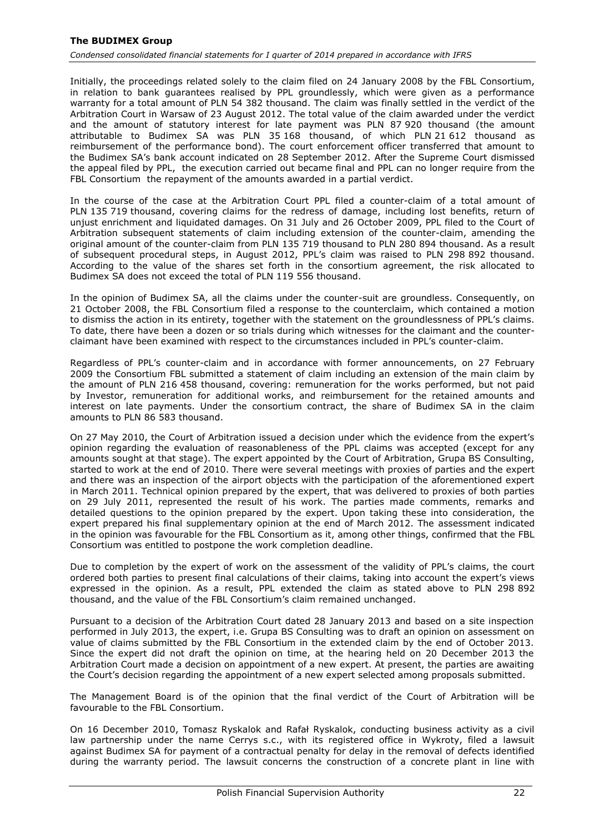Initially, the proceedings related solely to the claim filed on 24 January 2008 by the FBL Consortium, in relation to bank guarantees realised by PPL groundlessly, which were given as a performance warranty for a total amount of PLN 54 382 thousand. The claim was finally settled in the verdict of the Arbitration Court in Warsaw of 23 August 2012. The total value of the claim awarded under the verdict and the amount of statutory interest for late payment was PLN 87 920 thousand (the amount attributable to Budimex SA was PLN 35 168 thousand, of which PLN 21 612 thousand as reimbursement of the performance bond). The court enforcement officer transferred that amount to the Budimex SA's bank account indicated on 28 September 2012. After the Supreme Court dismissed the appeal filed by PPL, the execution carried out became final and PPL can no longer require from the FBL Consortium the repayment of the amounts awarded in a partial verdict.

In the course of the case at the Arbitration Court PPL filed a counter-claim of a total amount of PLN 135 719 thousand, covering claims for the redress of damage, including lost benefits, return of unjust enrichment and liquidated damages. On 31 July and 26 October 2009, PPL filed to the Court of Arbitration subsequent statements of claim including extension of the counter-claim, amending the original amount of the counter-claim from PLN 135 719 thousand to PLN 280 894 thousand. As a result of subsequent procedural steps, in August 2012, PPL's claim was raised to PLN 298 892 thousand. According to the value of the shares set forth in the consortium agreement, the risk allocated to Budimex SA does not exceed the total of PLN 119 556 thousand.

In the opinion of Budimex SA, all the claims under the counter-suit are groundless. Consequently, on 21 October 2008, the FBL Consortium filed a response to the counterclaim, which contained a motion to dismiss the action in its entirety, together with the statement on the groundlessness of PPL's claims. To date, there have been a dozen or so trials during which witnesses for the claimant and the counterclaimant have been examined with respect to the circumstances included in PPL's counter-claim.

Regardless of PPL's counter-claim and in accordance with former announcements, on 27 February 2009 the Consortium FBL submitted a statement of claim including an extension of the main claim by the amount of PLN 216 458 thousand, covering: remuneration for the works performed, but not paid by Investor, remuneration for additional works, and reimbursement for the retained amounts and interest on late payments. Under the consortium contract, the share of Budimex SA in the claim amounts to PLN 86 583 thousand.

On 27 May 2010, the Court of Arbitration issued a decision under which the evidence from the expert's opinion regarding the evaluation of reasonableness of the PPL claims was accepted (except for any amounts sought at that stage). The expert appointed by the Court of Arbitration, Grupa BS Consulting, started to work at the end of 2010. There were several meetings with proxies of parties and the expert and there was an inspection of the airport objects with the participation of the aforementioned expert in March 2011. Technical opinion prepared by the expert, that was delivered to proxies of both parties on 29 July 2011, represented the result of his work. The parties made comments, remarks and detailed questions to the opinion prepared by the expert. Upon taking these into consideration, the expert prepared his final supplementary opinion at the end of March 2012. The assessment indicated in the opinion was favourable for the FBL Consortium as it, among other things, confirmed that the FBL Consortium was entitled to postpone the work completion deadline.

Due to completion by the expert of work on the assessment of the validity of PPL's claims, the court ordered both parties to present final calculations of their claims, taking into account the expert's views expressed in the opinion. As a result, PPL extended the claim as stated above to PLN 298 892 thousand, and the value of the FBL Consortium's claim remained unchanged.

Pursuant to a decision of the Arbitration Court dated 28 January 2013 and based on a site inspection performed in July 2013, the expert, i.e. Grupa BS Consulting was to draft an opinion on assessment on value of claims submitted by the FBL Consortium in the extended claim by the end of October 2013. Since the expert did not draft the opinion on time, at the hearing held on 20 December 2013 the Arbitration Court made a decision on appointment of a new expert. At present, the parties are awaiting the Court's decision regarding the appointment of a new expert selected among proposals submitted.

The Management Board is of the opinion that the final verdict of the Court of Arbitration will be favourable to the FBL Consortium.

On 16 December 2010, Tomasz Ryskalok and Rafał Ryskalok, conducting business activity as a civil law partnership under the name Cerrys s.c., with its registered office in Wykroty, filed a lawsuit against Budimex SA for payment of a contractual penalty for delay in the removal of defects identified during the warranty period. The lawsuit concerns the construction of a concrete plant in line with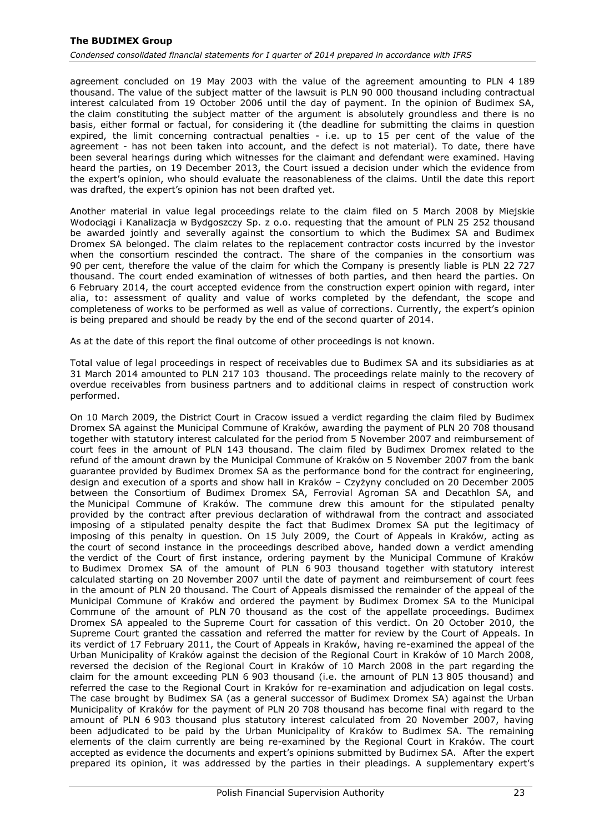agreement concluded on 19 May 2003 with the value of the agreement amounting to PLN 4 189 thousand. The value of the subject matter of the lawsuit is PLN 90 000 thousand including contractual interest calculated from 19 October 2006 until the day of payment. In the opinion of Budimex SA, the claim constituting the subject matter of the argument is absolutely groundless and there is no basis, either formal or factual, for considering it (the deadline for submitting the claims in question expired, the limit concerning contractual penalties - i.e. up to 15 per cent of the value of the agreement - has not been taken into account, and the defect is not material). To date, there have been several hearings during which witnesses for the claimant and defendant were examined. Having heard the parties, on 19 December 2013, the Court issued a decision under which the evidence from the expert's opinion, who should evaluate the reasonableness of the claims. Until the date this report was drafted, the expert's opinion has not been drafted yet.

Another material in value legal proceedings relate to the claim filed on 5 March 2008 by Miejskie Wodociągi i Kanalizacja w Bydgoszczy Sp. z o.o. requesting that the amount of PLN 25 252 thousand be awarded jointly and severally against the consortium to which the Budimex SA and Budimex Dromex SA belonged. The claim relates to the replacement contractor costs incurred by the investor when the consortium rescinded the contract. The share of the companies in the consortium was 90 per cent, therefore the value of the claim for which the Company is presently liable is PLN 22 727 thousand. The court ended examination of witnesses of both parties, and then heard the parties. On 6 February 2014, the court accepted evidence from the construction expert opinion with regard, inter alia, to: assessment of quality and value of works completed by the defendant, the scope and completeness of works to be performed as well as value of corrections. Currently, the expert's opinion is being prepared and should be ready by the end of the second quarter of 2014.

As at the date of this report the final outcome of other proceedings is not known.

Total value of legal proceedings in respect of receivables due to Budimex SA and its subsidiaries as at 31 March 2014 amounted to PLN 217 103 thousand. The proceedings relate mainly to the recovery of overdue receivables from business partners and to additional claims in respect of construction work performed.

On 10 March 2009, the District Court in Cracow issued a verdict regarding the claim filed by Budimex Dromex SA against the Municipal Commune of Kraków, awarding the payment of PLN 20 708 thousand together with statutory interest calculated for the period from 5 November 2007 and reimbursement of court fees in the amount of PLN 143 thousand. The claim filed by Budimex Dromex related to the refund of the amount drawn by the Municipal Commune of Kraków on 5 November 2007 from the bank guarantee provided by Budimex Dromex SA as the performance bond for the contract for engineering, design and execution of a sports and show hall in Kraków – Czyżyny concluded on 20 December 2005 between the Consortium of Budimex Dromex SA, Ferrovial Agroman SA and Decathlon SA, and the Municipal Commune of Kraków. The commune drew this amount for the stipulated penalty provided by the contract after previous declaration of withdrawal from the contract and associated imposing of a stipulated penalty despite the fact that Budimex Dromex SA put the legitimacy of imposing of this penalty in question. On 15 July 2009, the Court of Appeals in Kraków, acting as the court of second instance in the proceedings described above, handed down a verdict amending the verdict of the Court of first instance, ordering payment by the Municipal Commune of Kraków to Budimex Dromex SA of the amount of PLN 6 903 thousand together with statutory interest calculated starting on 20 November 2007 until the date of payment and reimbursement of court fees in the amount of PLN 20 thousand. The Court of Appeals dismissed the remainder of the appeal of the Municipal Commune of Kraków and ordered the payment by Budimex Dromex SA to the Municipal Commune of the amount of PLN 70 thousand as the cost of the appellate proceedings. Budimex Dromex SA appealed to the Supreme Court for cassation of this verdict. On 20 October 2010, the Supreme Court granted the cassation and referred the matter for review by the Court of Appeals. In its verdict of 17 February 2011, the Court of Appeals in Kraków, having re-examined the appeal of the Urban Municipality of Kraków against the decision of the Regional Court in Kraków of 10 March 2008, reversed the decision of the Regional Court in Kraków of 10 March 2008 in the part regarding the claim for the amount exceeding PLN 6 903 thousand (i.e. the amount of PLN 13 805 thousand) and referred the case to the Regional Court in Kraków for re-examination and adjudication on legal costs. The case brought by Budimex SA (as a general successor of Budimex Dromex SA) against the Urban Municipality of Kraków for the payment of PLN 20 708 thousand has become final with regard to the amount of PLN 6 903 thousand plus statutory interest calculated from 20 November 2007, having been adjudicated to be paid by the Urban Municipality of Kraków to Budimex SA. The remaining elements of the claim currently are being re-examined by the Regional Court in Kraków. The court accepted as evidence the documents and expert's opinions submitted by Budimex SA. After the expert prepared its opinion, it was addressed by the parties in their pleadings. A supplementary expert's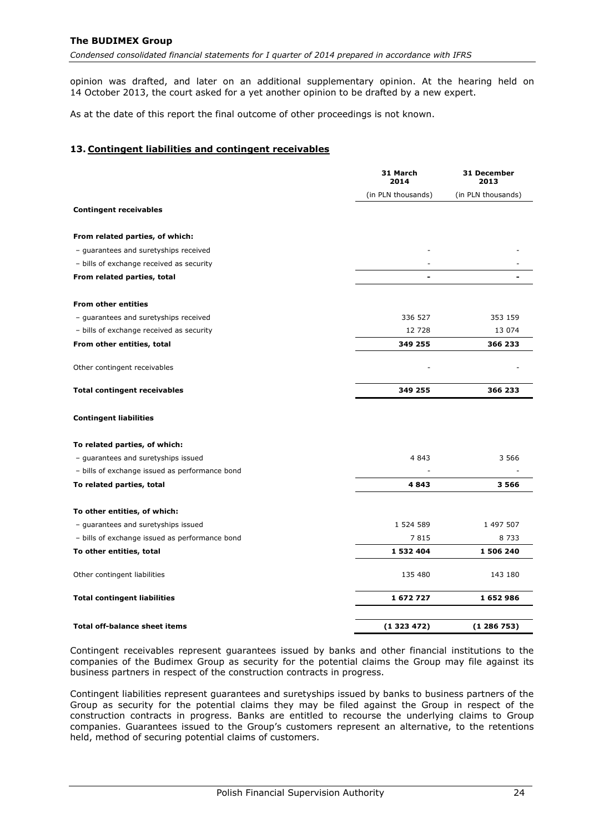*Condensed consolidated financial statements for I quarter of 2014 prepared in accordance with IFRS*

opinion was drafted, and later on an additional supplementary opinion. At the hearing held on 14 October 2013, the court asked for a yet another opinion to be drafted by a new expert.

As at the date of this report the final outcome of other proceedings is not known.

### <span id="page-24-0"></span>**13. Contingent liabilities and contingent receivables**

|                                                | 31 March<br>2014   | 31 December<br>2013 |
|------------------------------------------------|--------------------|---------------------|
|                                                | (in PLN thousands) | (in PLN thousands)  |
| <b>Contingent receivables</b>                  |                    |                     |
| From related parties, of which:                |                    |                     |
| - guarantees and suretyships received          |                    |                     |
| - bills of exchange received as security       |                    |                     |
| From related parties, total                    |                    |                     |
| <b>From other entities</b>                     |                    |                     |
| - guarantees and suretyships received          | 336 527            | 353 159             |
| - bills of exchange received as security       | 12728              | 13 074              |
| From other entities, total                     | 349 255            | 366 233             |
| Other contingent receivables                   |                    |                     |
| <b>Total contingent receivables</b>            | 349 255            | 366 233             |
| <b>Contingent liabilities</b>                  |                    |                     |
| To related parties, of which:                  |                    |                     |
| - guarantees and suretyships issued            | 4 8 4 3            | 3 5 6 6             |
| - bills of exchange issued as performance bond |                    |                     |
| To related parties, total                      | 4843               | 3566                |
| To other entities, of which:                   |                    |                     |
| - guarantees and suretyships issued            | 1 524 589          | 1 497 507           |
| - bills of exchange issued as performance bond | 7815               | 8 7 3 3             |
| To other entities, total                       | 1 532 404          | 1 506 240           |
| Other contingent liabilities                   | 135 480            | 143 180             |
| <b>Total contingent liabilities</b>            | 1672727            | 1652986             |
| <b>Total off-balance sheet items</b>           | (1323472)          | (1286753)           |

Contingent receivables represent guarantees issued by banks and other financial institutions to the companies of the Budimex Group as security for the potential claims the Group may file against its business partners in respect of the construction contracts in progress.

Contingent liabilities represent guarantees and suretyships issued by banks to business partners of the Group as security for the potential claims they may be filed against the Group in respect of the construction contracts in progress. Banks are entitled to recourse the underlying claims to Group companies. Guarantees issued to the Group's customers represent an alternative, to the retentions held, method of securing potential claims of customers.